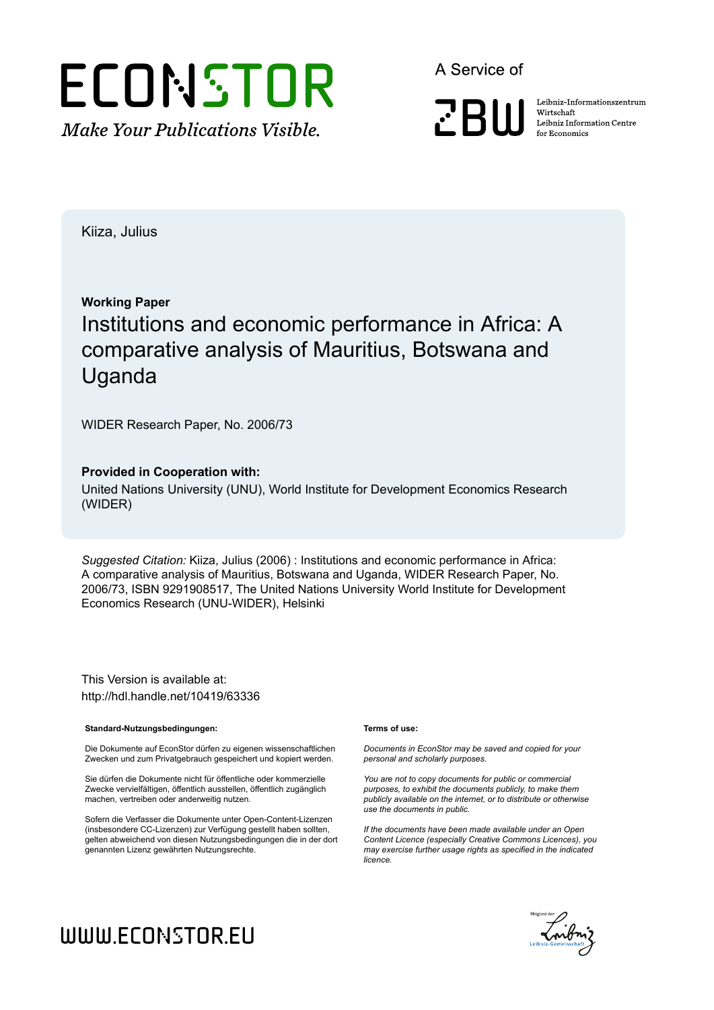# ECONSTOR **Make Your Publications Visible.**

A Service of

**ZBW** 

Leibniz Informationszentrum Wirtschaft Leibniz Information Centre for Economics

Kiiza, Julius

## **Working Paper** Institutions and economic performance in Africa: A comparative analysis of Mauritius, Botswana and Uganda

WIDER Research Paper, No. 2006/73

### **Provided in Cooperation with:**

United Nations University (UNU), World Institute for Development Economics Research (WIDER)

*Suggested Citation:* Kiiza, Julius (2006) : Institutions and economic performance in Africa: A comparative analysis of Mauritius, Botswana and Uganda, WIDER Research Paper, No. 2006/73, ISBN 9291908517, The United Nations University World Institute for Development Economics Research (UNU-WIDER), Helsinki

This Version is available at: http://hdl.handle.net/10419/63336

#### **Standard-Nutzungsbedingungen:**

Die Dokumente auf EconStor dürfen zu eigenen wissenschaftlichen Zwecken und zum Privatgebrauch gespeichert und kopiert werden.

Sie dürfen die Dokumente nicht für öffentliche oder kommerzielle Zwecke vervielfältigen, öffentlich ausstellen, öffentlich zugänglich machen, vertreiben oder anderweitig nutzen.

Sofern die Verfasser die Dokumente unter Open-Content-Lizenzen (insbesondere CC-Lizenzen) zur Verfügung gestellt haben sollten, gelten abweichend von diesen Nutzungsbedingungen die in der dort genannten Lizenz gewährten Nutzungsrechte.

#### **Terms of use:**

*Documents in EconStor may be saved and copied for your personal and scholarly purposes.*

*You are not to copy documents for public or commercial purposes, to exhibit the documents publicly, to make them publicly available on the internet, or to distribute or otherwise use the documents in public.*

*If the documents have been made available under an Open Content Licence (especially Creative Commons Licences), you may exercise further usage rights as specified in the indicated licence.*



# WWW.ECONSTOR.EU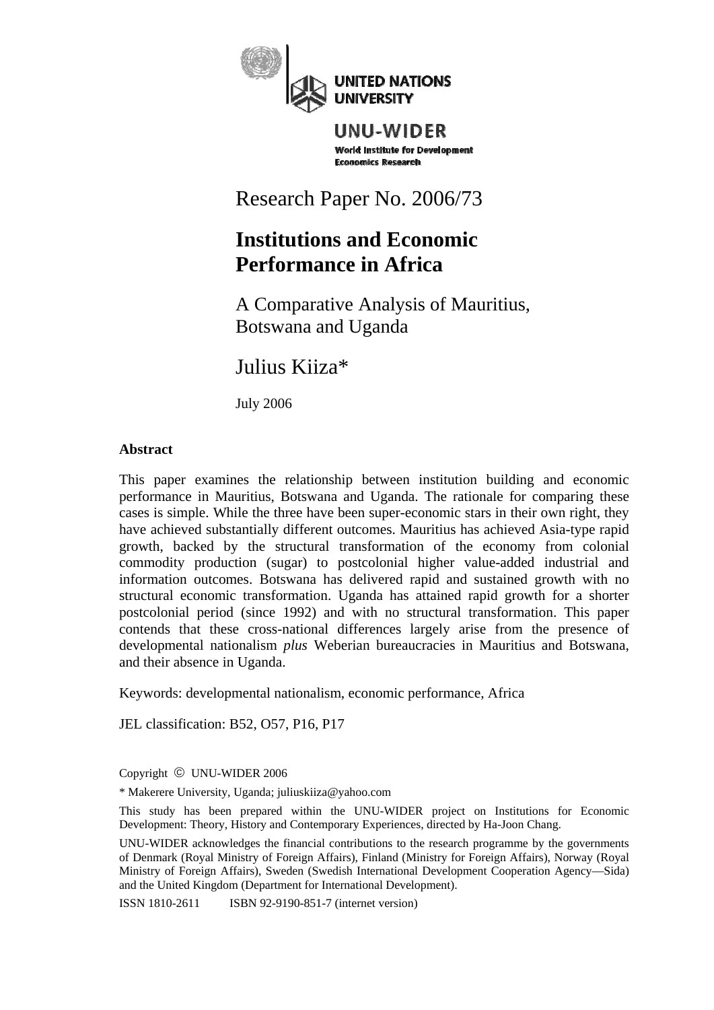

UNU-WIDER **World Institute for Development Economics Research** 

Research Paper No. 2006/73

## **Institutions and Economic Performance in Africa**

A Comparative Analysis of Mauritius, Botswana and Uganda

Julius Kiiza\*

July 2006

## **Abstract**

This paper examines the relationship between institution building and economic performance in Mauritius, Botswana and Uganda. The rationale for comparing these cases is simple. While the three have been super-economic stars in their own right, they have achieved substantially different outcomes. Mauritius has achieved Asia-type rapid growth, backed by the structural transformation of the economy from colonial commodity production (sugar) to postcolonial higher value-added industrial and information outcomes. Botswana has delivered rapid and sustained growth with no structural economic transformation. Uganda has attained rapid growth for a shorter postcolonial period (since 1992) and with no structural transformation. This paper contends that these cross-national differences largely arise from the presence of developmental nationalism *plus* Weberian bureaucracies in Mauritius and Botswana, and their absence in Uganda.

Keywords: developmental nationalism, economic performance, Africa

JEL classification: B52, O57, P16, P17

Copyright © UNU-WIDER 2006

\* Makerere University, Uganda; juliuskiiza@yahoo.com

This study has been prepared within the UNU-WIDER project on Institutions for Economic Development: Theory, History and Contemporary Experiences, directed by Ha-Joon Chang.

UNU-WIDER acknowledges the financial contributions to the research programme by the governments of Denmark (Royal Ministry of Foreign Affairs), Finland (Ministry for Foreign Affairs), Norway (Royal Ministry of Foreign Affairs), Sweden (Swedish International Development Cooperation Agency—Sida) and the United Kingdom (Department for International Development).

ISSN 1810-2611 ISBN 92-9190-851-7 (internet version)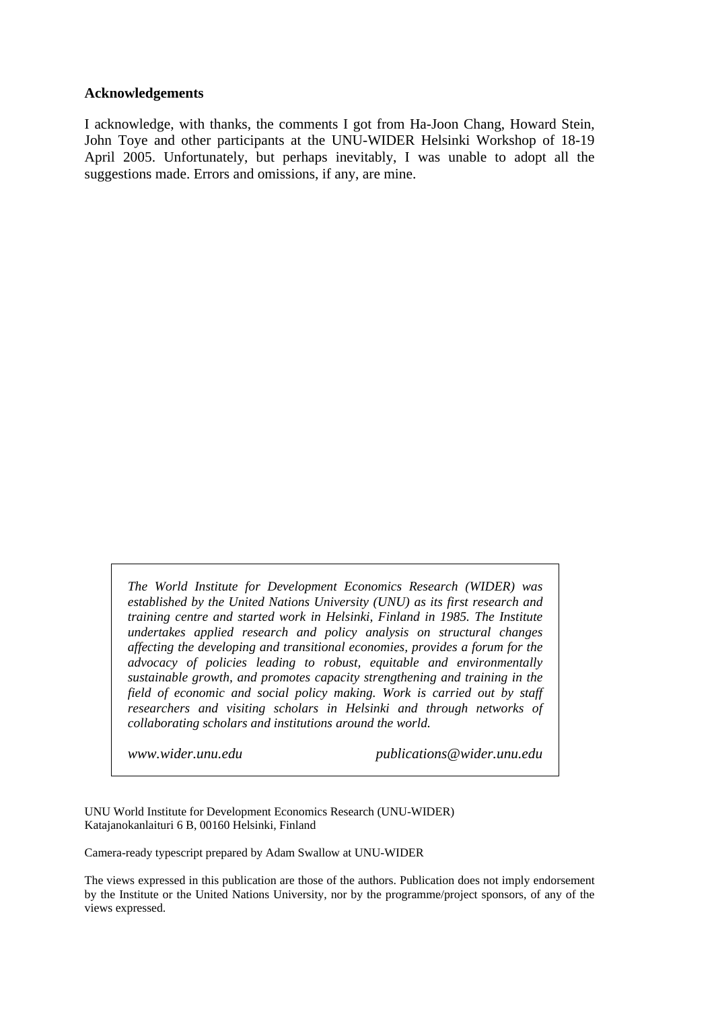#### **Acknowledgements**

I acknowledge, with thanks, the comments I got from Ha-Joon Chang, Howard Stein, John Toye and other participants at the UNU-WIDER Helsinki Workshop of 18-19 April 2005. Unfortunately, but perhaps inevitably, I was unable to adopt all the suggestions made. Errors and omissions, if any, are mine.

*The World Institute for Development Economics Research (WIDER) was established by the United Nations University (UNU) as its first research and training centre and started work in Helsinki, Finland in 1985. The Institute undertakes applied research and policy analysis on structural changes affecting the developing and transitional economies, provides a forum for the advocacy of policies leading to robust, equitable and environmentally sustainable growth, and promotes capacity strengthening and training in the field of economic and social policy making. Work is carried out by staff researchers and visiting scholars in Helsinki and through networks of collaborating scholars and institutions around the world.* 

*www.wider.unu.edu publications@wider.unu.edu* 

UNU World Institute for Development Economics Research (UNU-WIDER) Katajanokanlaituri 6 B, 00160 Helsinki, Finland

Camera-ready typescript prepared by Adam Swallow at UNU-WIDER

The views expressed in this publication are those of the authors. Publication does not imply endorsement by the Institute or the United Nations University, nor by the programme/project sponsors, of any of the views expressed.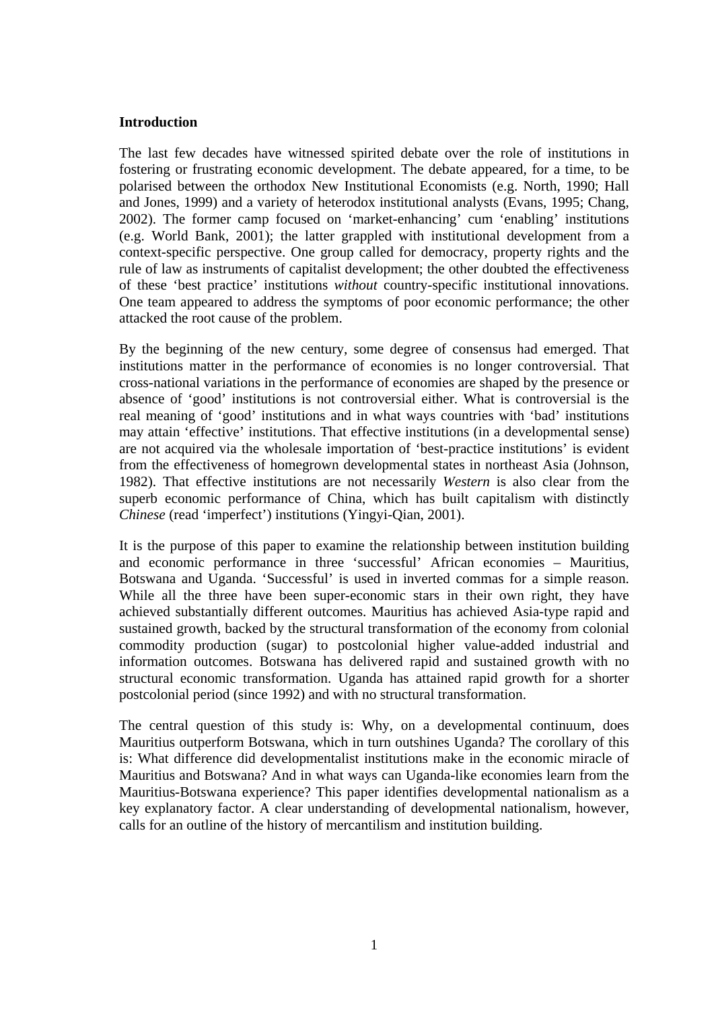#### **Introduction**

The last few decades have witnessed spirited debate over the role of institutions in fostering or frustrating economic development. The debate appeared, for a time, to be polarised between the orthodox New Institutional Economists (e.g. North, 1990; Hall and Jones, 1999) and a variety of heterodox institutional analysts (Evans, 1995; Chang, 2002). The former camp focused on 'market-enhancing' cum 'enabling' institutions (e.g. World Bank, 2001); the latter grappled with institutional development from a context-specific perspective. One group called for democracy, property rights and the rule of law as instruments of capitalist development; the other doubted the effectiveness of these 'best practice' institutions *without* country-specific institutional innovations. One team appeared to address the symptoms of poor economic performance; the other attacked the root cause of the problem.

By the beginning of the new century, some degree of consensus had emerged. That institutions matter in the performance of economies is no longer controversial. That cross-national variations in the performance of economies are shaped by the presence or absence of 'good' institutions is not controversial either. What is controversial is the real meaning of 'good' institutions and in what ways countries with 'bad' institutions may attain 'effective' institutions. That effective institutions (in a developmental sense) are not acquired via the wholesale importation of 'best-practice institutions' is evident from the effectiveness of homegrown developmental states in northeast Asia (Johnson, 1982). That effective institutions are not necessarily *Western* is also clear from the superb economic performance of China, which has built capitalism with distinctly *Chinese* (read 'imperfect') institutions (Yingyi-Qian, 2001).

It is the purpose of this paper to examine the relationship between institution building and economic performance in three 'successful' African economies – Mauritius, Botswana and Uganda. 'Successful' is used in inverted commas for a simple reason. While all the three have been super-economic stars in their own right, they have achieved substantially different outcomes. Mauritius has achieved Asia-type rapid and sustained growth, backed by the structural transformation of the economy from colonial commodity production (sugar) to postcolonial higher value-added industrial and information outcomes. Botswana has delivered rapid and sustained growth with no structural economic transformation. Uganda has attained rapid growth for a shorter postcolonial period (since 1992) and with no structural transformation.

The central question of this study is: Why, on a developmental continuum, does Mauritius outperform Botswana, which in turn outshines Uganda? The corollary of this is: What difference did developmentalist institutions make in the economic miracle of Mauritius and Botswana? And in what ways can Uganda-like economies learn from the Mauritius-Botswana experience? This paper identifies developmental nationalism as a key explanatory factor. A clear understanding of developmental nationalism, however, calls for an outline of the history of mercantilism and institution building.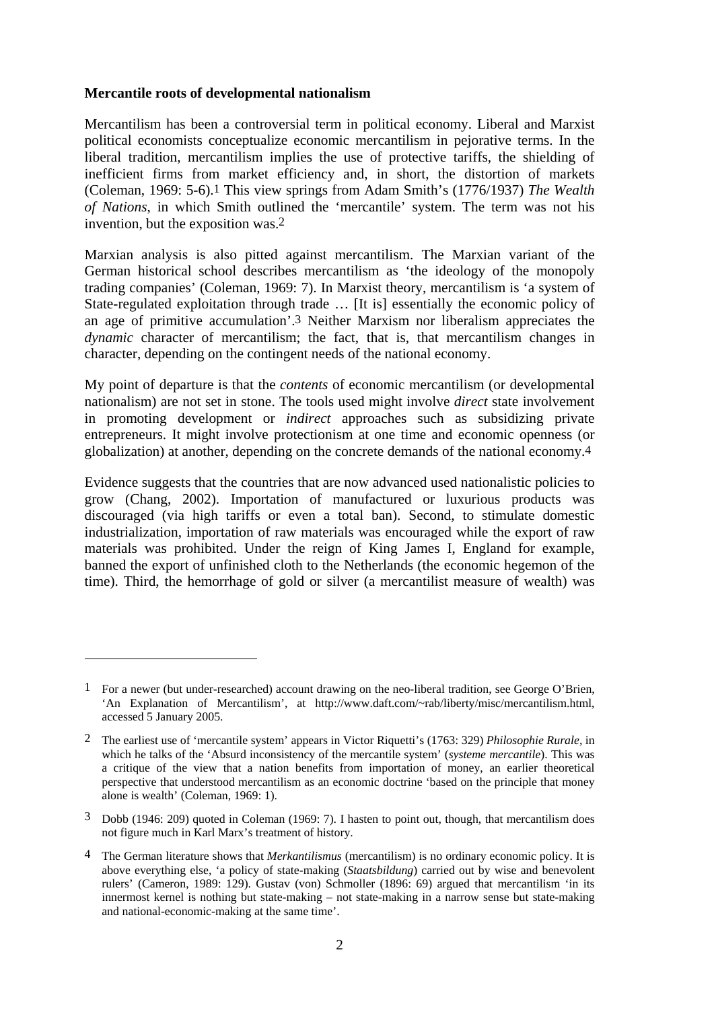#### **Mercantile roots of developmental nationalism**

 $\overline{a}$ 

Mercantilism has been a controversial term in political economy. Liberal and Marxist political economists conceptualize economic mercantilism in pejorative terms. In the liberal tradition, mercantilism implies the use of protective tariffs, the shielding of inefficient firms from market efficiency and, in short, the distortion of markets (Coleman, 1969: 5-6).1 This view springs from Adam Smith's (1776/1937) *The Wealth of Nations*, in which Smith outlined the 'mercantile' system. The term was not his invention, but the exposition was.2

Marxian analysis is also pitted against mercantilism. The Marxian variant of the German historical school describes mercantilism as 'the ideology of the monopoly trading companies' (Coleman, 1969: 7). In Marxist theory, mercantilism is 'a system of State-regulated exploitation through trade … [It is] essentially the economic policy of an age of primitive accumulation'.3 Neither Marxism nor liberalism appreciates the *dynamic* character of mercantilism; the fact, that is, that mercantilism changes in character, depending on the contingent needs of the national economy.

My point of departure is that the *contents* of economic mercantilism (or developmental nationalism) are not set in stone. The tools used might involve *direct* state involvement in promoting development or *indirect* approaches such as subsidizing private entrepreneurs. It might involve protectionism at one time and economic openness (or globalization) at another, depending on the concrete demands of the national economy.4

Evidence suggests that the countries that are now advanced used nationalistic policies to grow (Chang, 2002). Importation of manufactured or luxurious products was discouraged (via high tariffs or even a total ban). Second, to stimulate domestic industrialization, importation of raw materials was encouraged while the export of raw materials was prohibited. Under the reign of King James I, England for example, banned the export of unfinished cloth to the Netherlands (the economic hegemon of the time). Third, the hemorrhage of gold or silver (a mercantilist measure of wealth) was

<sup>1</sup> For a newer (but under-researched) account drawing on the neo-liberal tradition, see George O'Brien, 'An Explanation of Mercantilism', at http://www.daft.com/~rab/liberty/misc/mercantilism.html, accessed 5 January 2005.

<sup>2</sup> The earliest use of 'mercantile system' appears in Victor Riquetti's (1763: 329) *Philosophie Rurale,* in which he talks of the 'Absurd inconsistency of the mercantile system' (*systeme mercantile*). This was a critique of the view that a nation benefits from importation of money, an earlier theoretical perspective that understood mercantilism as an economic doctrine 'based on the principle that money alone is wealth' (Coleman, 1969: 1).

<sup>3</sup> Dobb (1946: 209) quoted in Coleman (1969: 7). I hasten to point out, though, that mercantilism does not figure much in Karl Marx's treatment of history.

<sup>4</sup> The German literature shows that *Merkantilismus* (mercantilism) is no ordinary economic policy. It is above everything else, 'a policy of state-making (*Staatsbildung*) carried out by wise and benevolent rulers' (Cameron, 1989: 129). Gustav (von) Schmoller (1896: 69) argued that mercantilism 'in its innermost kernel is nothing but state-making – not state-making in a narrow sense but state-making and national-economic-making at the same time'.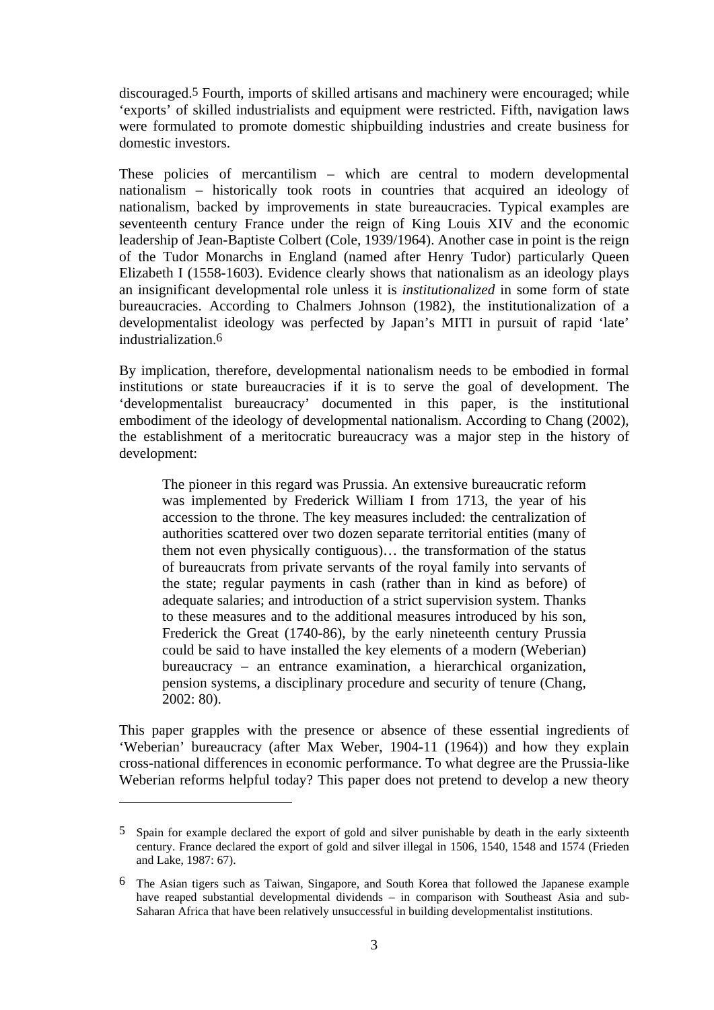discouraged.5 Fourth, imports of skilled artisans and machinery were encouraged; while 'exports' of skilled industrialists and equipment were restricted. Fifth, navigation laws were formulated to promote domestic shipbuilding industries and create business for domestic investors.

These policies of mercantilism – which are central to modern developmental nationalism – historically took roots in countries that acquired an ideology of nationalism, backed by improvements in state bureaucracies. Typical examples are seventeenth century France under the reign of King Louis XIV and the economic leadership of Jean-Baptiste Colbert (Cole, 1939/1964). Another case in point is the reign of the Tudor Monarchs in England (named after Henry Tudor) particularly Queen Elizabeth I (1558-1603). Evidence clearly shows that nationalism as an ideology plays an insignificant developmental role unless it is *institutionalized* in some form of state bureaucracies. According to Chalmers Johnson (1982), the institutionalization of a developmentalist ideology was perfected by Japan's MITI in pursuit of rapid 'late' industrialization.6

By implication, therefore, developmental nationalism needs to be embodied in formal institutions or state bureaucracies if it is to serve the goal of development. The 'developmentalist bureaucracy' documented in this paper, is the institutional embodiment of the ideology of developmental nationalism. According to Chang (2002), the establishment of a meritocratic bureaucracy was a major step in the history of development:

The pioneer in this regard was Prussia. An extensive bureaucratic reform was implemented by Frederick William I from 1713, the year of his accession to the throne. The key measures included: the centralization of authorities scattered over two dozen separate territorial entities (many of them not even physically contiguous)… the transformation of the status of bureaucrats from private servants of the royal family into servants of the state; regular payments in cash (rather than in kind as before) of adequate salaries; and introduction of a strict supervision system. Thanks to these measures and to the additional measures introduced by his son, Frederick the Great (1740-86), by the early nineteenth century Prussia could be said to have installed the key elements of a modern (Weberian) bureaucracy – an entrance examination, a hierarchical organization, pension systems, a disciplinary procedure and security of tenure (Chang, 2002: 80).

This paper grapples with the presence or absence of these essential ingredients of 'Weberian' bureaucracy (after Max Weber, 1904-11 (1964)) and how they explain cross-national differences in economic performance. To what degree are the Prussia-like Weberian reforms helpful today? This paper does not pretend to develop a new theory

<sup>5</sup> Spain for example declared the export of gold and silver punishable by death in the early sixteenth century. France declared the export of gold and silver illegal in 1506, 1540, 1548 and 1574 (Frieden and Lake, 1987: 67).

<sup>6</sup> The Asian tigers such as Taiwan, Singapore, and South Korea that followed the Japanese example have reaped substantial developmental dividends – in comparison with Southeast Asia and sub-Saharan Africa that have been relatively unsuccessful in building developmentalist institutions.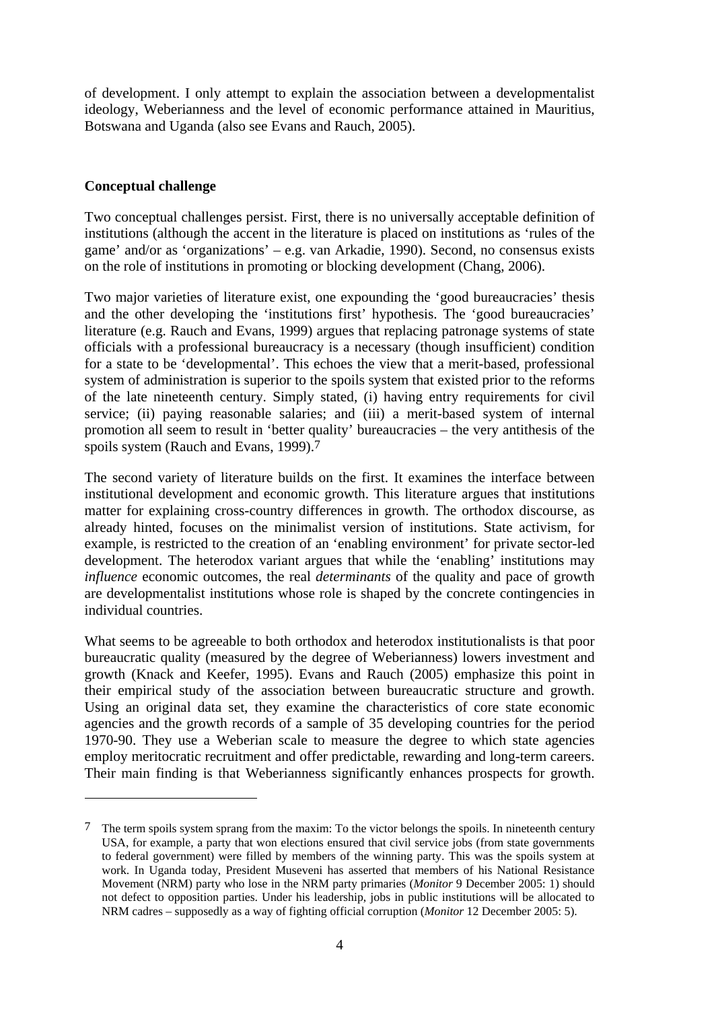of development. I only attempt to explain the association between a developmentalist ideology, Weberianness and the level of economic performance attained in Mauritius, Botswana and Uganda (also see Evans and Rauch, 2005).

### **Conceptual challenge**

 $\overline{a}$ 

Two conceptual challenges persist. First, there is no universally acceptable definition of institutions (although the accent in the literature is placed on institutions as 'rules of the game' and/or as 'organizations' – e.g. van Arkadie, 1990). Second, no consensus exists on the role of institutions in promoting or blocking development (Chang, 2006).

Two major varieties of literature exist, one expounding the 'good bureaucracies' thesis and the other developing the 'institutions first' hypothesis. The 'good bureaucracies' literature (e.g. Rauch and Evans, 1999) argues that replacing patronage systems of state officials with a professional bureaucracy is a necessary (though insufficient) condition for a state to be 'developmental'. This echoes the view that a merit-based, professional system of administration is superior to the spoils system that existed prior to the reforms of the late nineteenth century. Simply stated, (i) having entry requirements for civil service; (ii) paying reasonable salaries; and (iii) a merit-based system of internal promotion all seem to result in 'better quality' bureaucracies – the very antithesis of the spoils system (Rauch and Evans, 1999).7

The second variety of literature builds on the first. It examines the interface between institutional development and economic growth. This literature argues that institutions matter for explaining cross-country differences in growth. The orthodox discourse, as already hinted, focuses on the minimalist version of institutions. State activism, for example, is restricted to the creation of an 'enabling environment' for private sector-led development. The heterodox variant argues that while the 'enabling' institutions may *influence* economic outcomes, the real *determinants* of the quality and pace of growth are developmentalist institutions whose role is shaped by the concrete contingencies in individual countries.

What seems to be agreeable to both orthodox and heterodox institutionalists is that poor bureaucratic quality (measured by the degree of Weberianness) lowers investment and growth (Knack and Keefer, 1995). Evans and Rauch (2005) emphasize this point in their empirical study of the association between bureaucratic structure and growth. Using an original data set, they examine the characteristics of core state economic agencies and the growth records of a sample of 35 developing countries for the period 1970-90. They use a Weberian scale to measure the degree to which state agencies employ meritocratic recruitment and offer predictable, rewarding and long-term careers. Their main finding is that Weberianness significantly enhances prospects for growth.

 $\frac{7}{10}$  The term spoils system sprang from the maxim: To the victor belongs the spoils. In nineteenth century USA, for example, a party that won elections ensured that civil service jobs (from state governments to federal government) were filled by members of the winning party. This was the spoils system at work. In Uganda today, President Museveni has asserted that members of his National Resistance Movement (NRM) party who lose in the NRM party primaries (*Monitor* 9 December 2005: 1) should not defect to opposition parties. Under his leadership, jobs in public institutions will be allocated to NRM cadres – supposedly as a way of fighting official corruption (*Monitor* 12 December 2005: 5).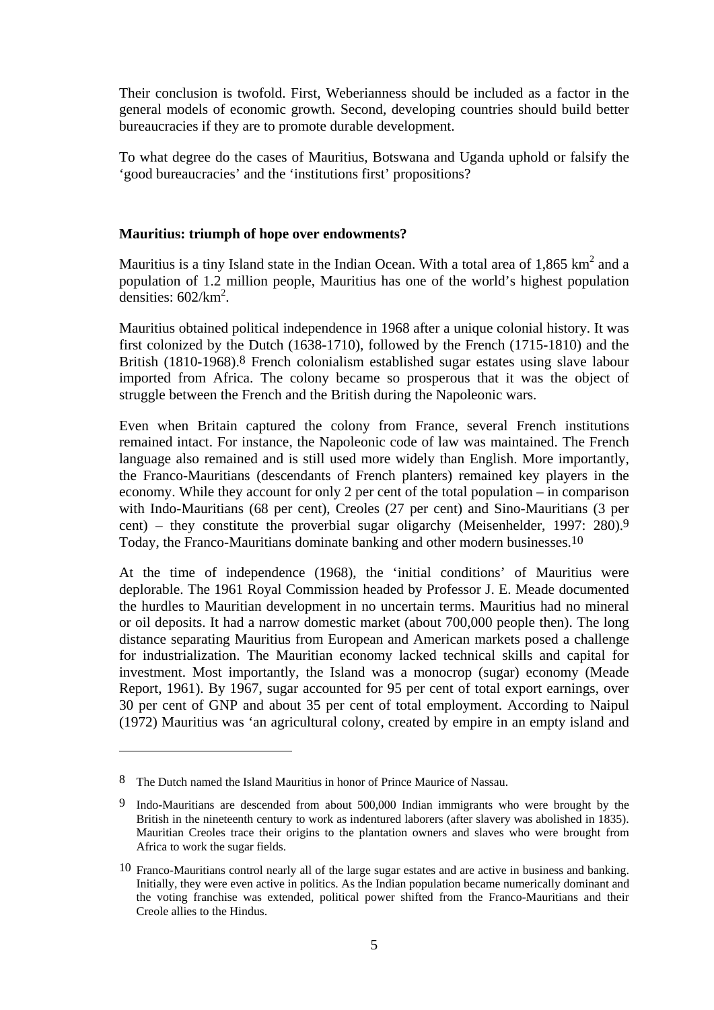Their conclusion is twofold. First, Weberianness should be included as a factor in the general models of economic growth. Second, developing countries should build better bureaucracies if they are to promote durable development.

To what degree do the cases of Mauritius, Botswana and Uganda uphold or falsify the 'good bureaucracies' and the 'institutions first' propositions?

### **Mauritius: triumph of hope over endowments?**

Mauritius is a tiny Island state in the Indian Ocean. With a total area of 1,865  $km^2$  and a population of 1.2 million people, Mauritius has one of the world's highest population densities:  $602/km^2$ .

Mauritius obtained political independence in 1968 after a unique colonial history. It was first colonized by the Dutch (1638-1710), followed by the French (1715-1810) and the British (1810-1968).8 French colonialism established sugar estates using slave labour imported from Africa. The colony became so prosperous that it was the object of struggle between the French and the British during the Napoleonic wars.

Even when Britain captured the colony from France, several French institutions remained intact. For instance, the Napoleonic code of law was maintained. The French language also remained and is still used more widely than English. More importantly, the Franco-Mauritians (descendants of French planters) remained key players in the economy. While they account for only 2 per cent of the total population – in comparison with Indo-Mauritians (68 per cent), Creoles (27 per cent) and Sino-Mauritians (3 per cent) – they constitute the proverbial sugar oligarchy (Meisenhelder, 1997: 280).9 Today, the Franco-Mauritians dominate banking and other modern businesses.10

At the time of independence (1968), the 'initial conditions' of Mauritius were deplorable. The 1961 Royal Commission headed by Professor J. E. Meade documented the hurdles to Mauritian development in no uncertain terms. Mauritius had no mineral or oil deposits. It had a narrow domestic market (about 700,000 people then). The long distance separating Mauritius from European and American markets posed a challenge for industrialization. The Mauritian economy lacked technical skills and capital for investment. Most importantly, the Island was a monocrop (sugar) economy (Meade Report, 1961). By 1967, sugar accounted for 95 per cent of total export earnings, over 30 per cent of GNP and about 35 per cent of total employment. According to Naipul (1972) Mauritius was 'an agricultural colony, created by empire in an empty island and

<sup>8</sup> The Dutch named the Island Mauritius in honor of Prince Maurice of Nassau.

<sup>9</sup> Indo-Mauritians are descended from about 500,000 Indian immigrants who were brought by the British in the nineteenth century to work as indentured laborers (after slavery was abolished in 1835). Mauritian Creoles trace their origins to the plantation owners and slaves who were brought from Africa to work the sugar fields.

<sup>10</sup> Franco-Mauritians control nearly all of the large sugar estates and are active in business and banking. Initially, they were even active in politics. As the Indian population became numerically dominant and the voting franchise was extended, political power shifted from the Franco-Mauritians and their Creole allies to the Hindus.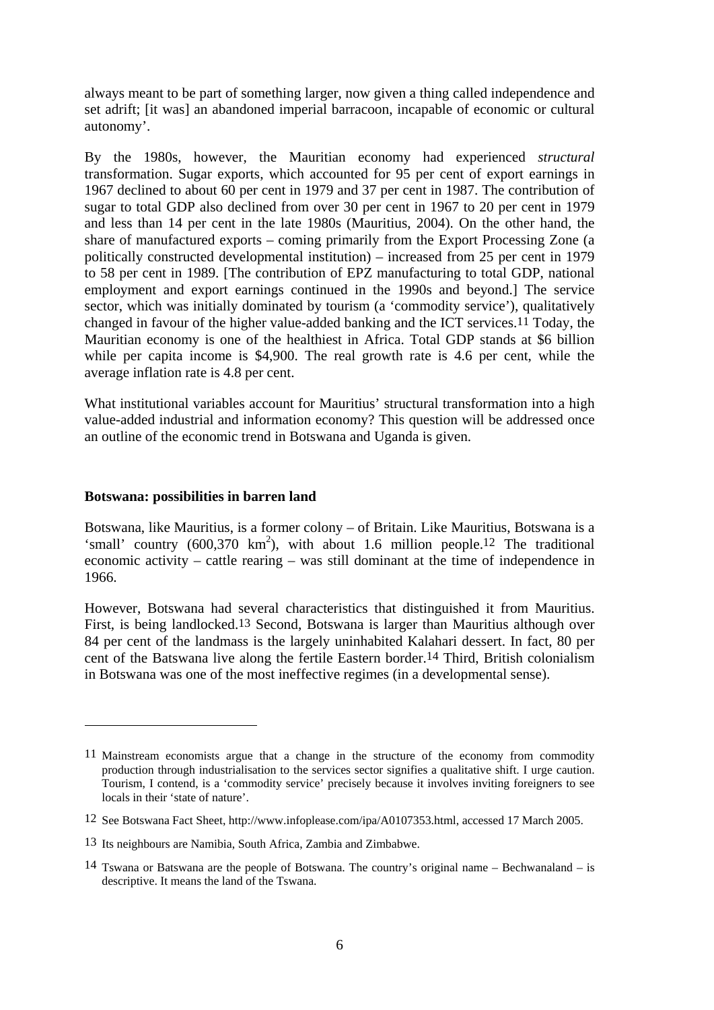always meant to be part of something larger, now given a thing called independence and set adrift; [it was] an abandoned imperial barracoon, incapable of economic or cultural autonomy'.

By the 1980s, however, the Mauritian economy had experienced *structural* transformation. Sugar exports, which accounted for 95 per cent of export earnings in 1967 declined to about 60 per cent in 1979 and 37 per cent in 1987. The contribution of sugar to total GDP also declined from over 30 per cent in 1967 to 20 per cent in 1979 and less than 14 per cent in the late 1980s (Mauritius, 2004). On the other hand, the share of manufactured exports – coming primarily from the Export Processing Zone (a politically constructed developmental institution) – increased from 25 per cent in 1979 to 58 per cent in 1989. [The contribution of EPZ manufacturing to total GDP, national employment and export earnings continued in the 1990s and beyond.] The service sector, which was initially dominated by tourism (a 'commodity service'), qualitatively changed in favour of the higher value-added banking and the ICT services.11 Today, the Mauritian economy is one of the healthiest in Africa. Total GDP stands at \$6 billion while per capita income is \$4,900. The real growth rate is 4.6 per cent, while the average inflation rate is 4.8 per cent.

What institutional variables account for Mauritius' structural transformation into a high value-added industrial and information economy? This question will be addressed once an outline of the economic trend in Botswana and Uganda is given.

#### **Botswana: possibilities in barren land**

 $\overline{a}$ 

Botswana, like Mauritius, is a former colony – of Britain. Like Mauritius, Botswana is a 'small' country  $(600,370 \text{ km}^2)$ , with about 1.6 million people.<sup>12</sup> The traditional economic activity – cattle rearing – was still dominant at the time of independence in 1966.

However, Botswana had several characteristics that distinguished it from Mauritius. First, is being landlocked.13 Second, Botswana is larger than Mauritius although over 84 per cent of the landmass is the largely uninhabited Kalahari dessert. In fact, 80 per cent of the Batswana live along the fertile Eastern border.14 Third, British colonialism in Botswana was one of the most ineffective regimes (in a developmental sense).

<sup>11</sup> Mainstream economists argue that a change in the structure of the economy from commodity production through industrialisation to the services sector signifies a qualitative shift. I urge caution. Tourism, I contend, is a 'commodity service' precisely because it involves inviting foreigners to see locals in their 'state of nature'.

<sup>12</sup> See Botswana Fact Sheet, http://www.infoplease.com/ipa/A0107353.html, accessed 17 March 2005.

<sup>13</sup> Its neighbours are Namibia, South Africa, Zambia and Zimbabwe.

<sup>14</sup> Tswana or Batswana are the people of Botswana. The country's original name – Bechwanaland – is descriptive. It means the land of the Tswana.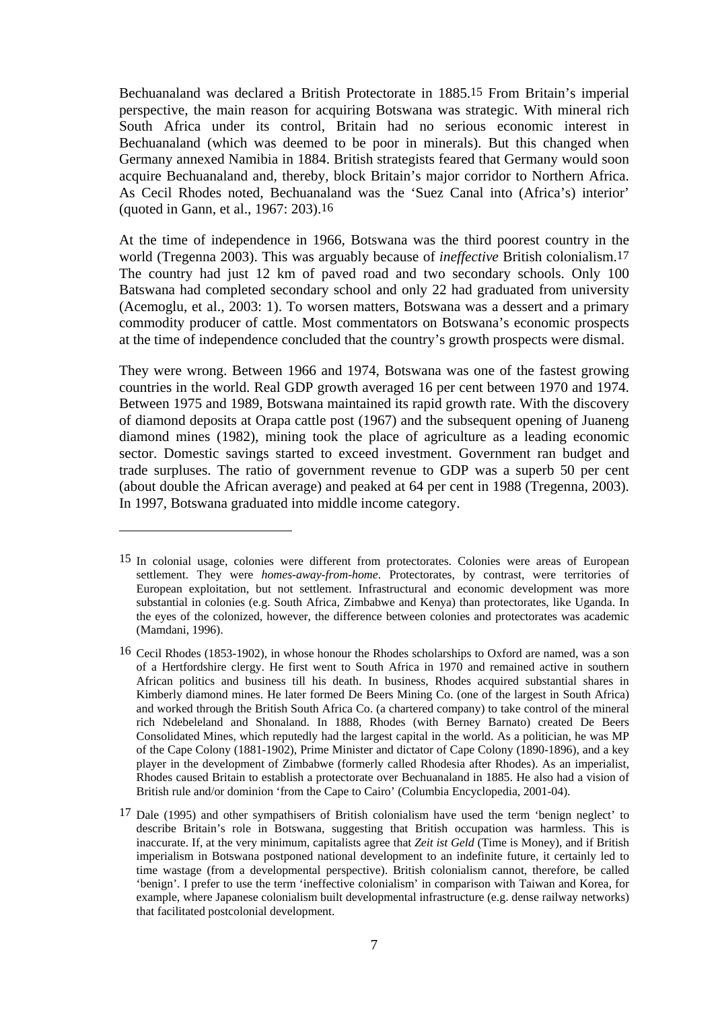Bechuanaland was declared a British Protectorate in 1885.15 From Britain's imperial perspective, the main reason for acquiring Botswana was strategic. With mineral rich South Africa under its control, Britain had no serious economic interest in Bechuanaland (which was deemed to be poor in minerals). But this changed when Germany annexed Namibia in 1884. British strategists feared that Germany would soon acquire Bechuanaland and, thereby, block Britain's major corridor to Northern Africa. As Cecil Rhodes noted, Bechuanaland was the 'Suez Canal into (Africa's) interior' (quoted in Gann, et al., 1967: 203).16

At the time of independence in 1966, Botswana was the third poorest country in the world (Tregenna 2003). This was arguably because of *ineffective* British colonialism.17 The country had just 12 km of paved road and two secondary schools. Only 100 Batswana had completed secondary school and only 22 had graduated from university (Acemoglu, et al., 2003: 1). To worsen matters, Botswana was a dessert and a primary commodity producer of cattle. Most commentators on Botswana's economic prospects at the time of independence concluded that the country's growth prospects were dismal.

They were wrong. Between 1966 and 1974, Botswana was one of the fastest growing countries in the world. Real GDP growth averaged 16 per cent between 1970 and 1974. Between 1975 and 1989, Botswana maintained its rapid growth rate. With the discovery of diamond deposits at Orapa cattle post (1967) and the subsequent opening of Juaneng diamond mines (1982), mining took the place of agriculture as a leading economic sector. Domestic savings started to exceed investment. Government ran budget and trade surpluses. The ratio of government revenue to GDP was a superb 50 per cent (about double the African average) and peaked at 64 per cent in 1988 (Tregenna, 2003). In 1997, Botswana graduated into middle income category.

<sup>15</sup> In colonial usage, colonies were different from protectorates. Colonies were areas of European settlement. They were *homes-away-from-home*. Protectorates, by contrast, were territories of European exploitation, but not settlement. Infrastructural and economic development was more substantial in colonies (e.g. South Africa, Zimbabwe and Kenya) than protectorates, like Uganda. In the eyes of the colonized, however, the difference between colonies and protectorates was academic (Mamdani, 1996).

<sup>16</sup> Cecil Rhodes (1853-1902), in whose honour the Rhodes scholarships to Oxford are named, was a son of a Hertfordshire clergy. He first went to South Africa in 1970 and remained active in southern African politics and business till his death. In business, Rhodes acquired substantial shares in Kimberly diamond mines. He later formed De Beers Mining Co. (one of the largest in South Africa) and worked through the British South Africa Co. (a chartered company) to take control of the mineral rich Ndebeleland and Shonaland. In 1888, Rhodes (with Berney Barnato) created De Beers Consolidated Mines, which reputedly had the largest capital in the world. As a politician, he was MP of the Cape Colony (1881-1902), Prime Minister and dictator of Cape Colony (1890-1896), and a key player in the development of Zimbabwe (formerly called Rhodesia after Rhodes). As an imperialist, Rhodes caused Britain to establish a protectorate over Bechuanaland in 1885. He also had a vision of British rule and/or dominion 'from the Cape to Cairo' (Columbia Encyclopedia, 2001-04).

<sup>17</sup> Dale (1995) and other sympathisers of British colonialism have used the term 'benign neglect' to describe Britain's role in Botswana, suggesting that British occupation was harmless. This is inaccurate. If, at the very minimum, capitalists agree that *Zeit ist Geld* (Time is Money), and if British imperialism in Botswana postponed national development to an indefinite future, it certainly led to time wastage (from a developmental perspective). British colonialism cannot, therefore, be called 'benign'. I prefer to use the term 'ineffective colonialism' in comparison with Taiwan and Korea, for example, where Japanese colonialism built developmental infrastructure (e.g. dense railway networks) that facilitated postcolonial development.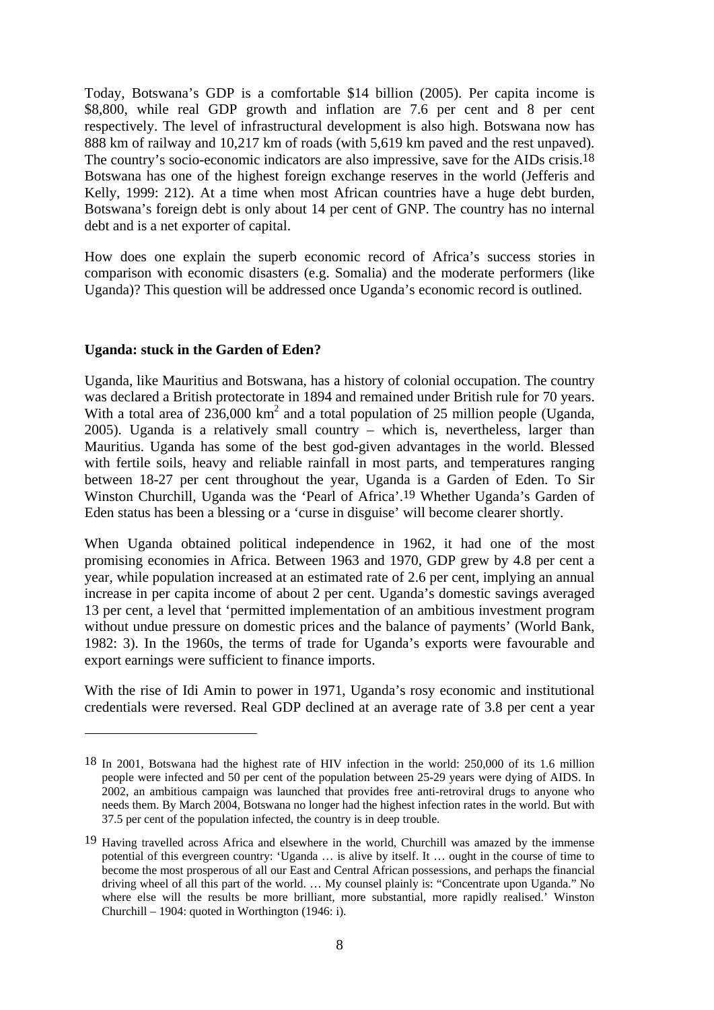Today, Botswana's GDP is a comfortable \$14 billion (2005). Per capita income is \$8,800, while real GDP growth and inflation are 7.6 per cent and 8 per cent respectively. The level of infrastructural development is also high. Botswana now has 888 km of railway and 10,217 km of roads (with 5,619 km paved and the rest unpaved). The country's socio-economic indicators are also impressive, save for the AIDs crisis.18 Botswana has one of the highest foreign exchange reserves in the world (Jefferis and Kelly, 1999: 212). At a time when most African countries have a huge debt burden, Botswana's foreign debt is only about 14 per cent of GNP. The country has no internal debt and is a net exporter of capital.

How does one explain the superb economic record of Africa's success stories in comparison with economic disasters (e.g. Somalia) and the moderate performers (like Uganda)? This question will be addressed once Uganda's economic record is outlined.

#### **Uganda: stuck in the Garden of Eden?**

 $\overline{a}$ 

Uganda, like Mauritius and Botswana, has a history of colonial occupation. The country was declared a British protectorate in 1894 and remained under British rule for 70 years. With a total area of  $236,000 \text{ km}^2$  and a total population of 25 million people (Uganda, 2005). Uganda is a relatively small country – which is, nevertheless, larger than Mauritius. Uganda has some of the best god-given advantages in the world. Blessed with fertile soils, heavy and reliable rainfall in most parts, and temperatures ranging between 18-27 per cent throughout the year, Uganda is a Garden of Eden. To Sir Winston Churchill, Uganda was the 'Pearl of Africa'.19 Whether Uganda's Garden of Eden status has been a blessing or a 'curse in disguise' will become clearer shortly.

When Uganda obtained political independence in 1962, it had one of the most promising economies in Africa. Between 1963 and 1970, GDP grew by 4.8 per cent a year, while population increased at an estimated rate of 2.6 per cent, implying an annual increase in per capita income of about 2 per cent. Uganda's domestic savings averaged 13 per cent, a level that 'permitted implementation of an ambitious investment program without undue pressure on domestic prices and the balance of payments' (World Bank, 1982: 3). In the 1960s, the terms of trade for Uganda's exports were favourable and export earnings were sufficient to finance imports.

With the rise of Idi Amin to power in 1971, Uganda's rosy economic and institutional credentials were reversed. Real GDP declined at an average rate of 3.8 per cent a year

<sup>18</sup> In 2001, Botswana had the highest rate of HIV infection in the world: 250,000 of its 1.6 million people were infected and 50 per cent of the population between 25-29 years were dying of AIDS. In 2002, an ambitious campaign was launched that provides free anti-retroviral drugs to anyone who needs them. By March 2004, Botswana no longer had the highest infection rates in the world. But with 37.5 per cent of the population infected, the country is in deep trouble.

<sup>19</sup> Having travelled across Africa and elsewhere in the world, Churchill was amazed by the immense potential of this evergreen country: 'Uganda … is alive by itself. It … ought in the course of time to become the most prosperous of all our East and Central African possessions, and perhaps the financial driving wheel of all this part of the world. … My counsel plainly is: "Concentrate upon Uganda." No where else will the results be more brilliant, more substantial, more rapidly realised.' Winston Churchill – 1904: quoted in Worthington (1946: i).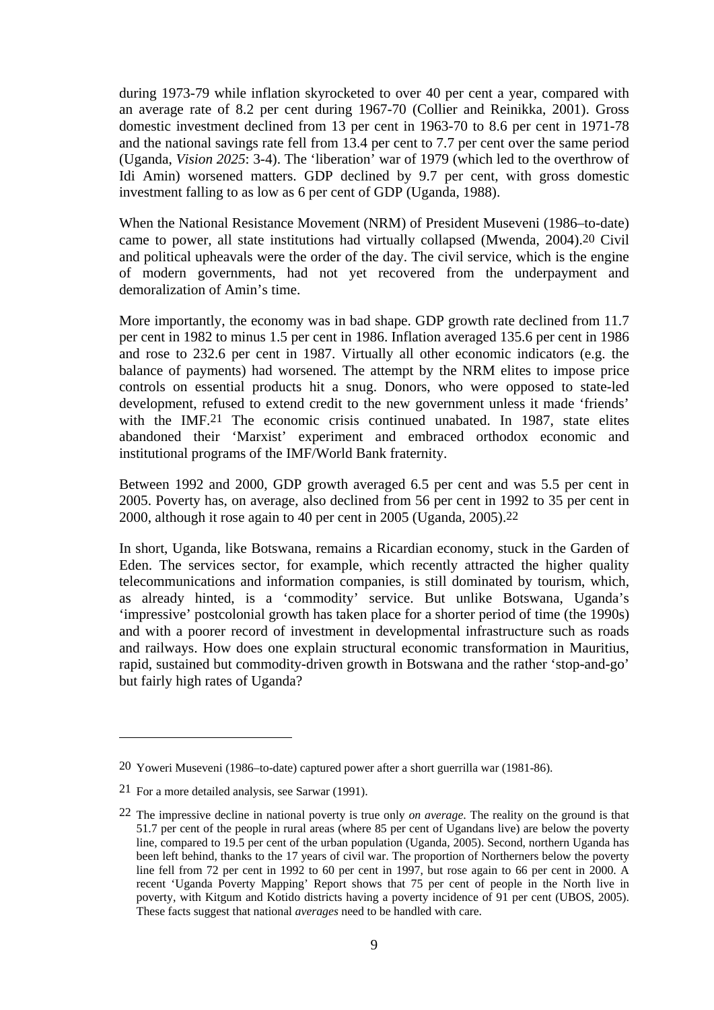during 1973-79 while inflation skyrocketed to over 40 per cent a year, compared with an average rate of 8.2 per cent during 1967-70 (Collier and Reinikka, 2001). Gross domestic investment declined from 13 per cent in 1963-70 to 8.6 per cent in 1971-78 and the national savings rate fell from 13.4 per cent to 7.7 per cent over the same period (Uganda, *Vision 2025*: 3-4). The 'liberation' war of 1979 (which led to the overthrow of Idi Amin) worsened matters. GDP declined by 9.7 per cent, with gross domestic investment falling to as low as 6 per cent of GDP (Uganda, 1988).

When the National Resistance Movement (NRM) of President Museveni (1986–to-date) came to power, all state institutions had virtually collapsed (Mwenda, 2004).20 Civil and political upheavals were the order of the day. The civil service, which is the engine of modern governments, had not yet recovered from the underpayment and demoralization of Amin's time.

More importantly, the economy was in bad shape. GDP growth rate declined from 11.7 per cent in 1982 to minus 1.5 per cent in 1986. Inflation averaged 135.6 per cent in 1986 and rose to 232.6 per cent in 1987. Virtually all other economic indicators (e.g. the balance of payments) had worsened. The attempt by the NRM elites to impose price controls on essential products hit a snug. Donors, who were opposed to state-led development, refused to extend credit to the new government unless it made 'friends' with the IMF.<sup>21</sup> The economic crisis continued unabated. In 1987, state elites abandoned their 'Marxist' experiment and embraced orthodox economic and institutional programs of the IMF/World Bank fraternity.

Between 1992 and 2000, GDP growth averaged 6.5 per cent and was 5.5 per cent in 2005. Poverty has, on average, also declined from 56 per cent in 1992 to 35 per cent in 2000, although it rose again to 40 per cent in 2005 (Uganda, 2005).22

In short, Uganda, like Botswana, remains a Ricardian economy, stuck in the Garden of Eden. The services sector, for example, which recently attracted the higher quality telecommunications and information companies, is still dominated by tourism, which, as already hinted, is a 'commodity' service. But unlike Botswana, Uganda's 'impressive' postcolonial growth has taken place for a shorter period of time (the 1990s) and with a poorer record of investment in developmental infrastructure such as roads and railways. How does one explain structural economic transformation in Mauritius, rapid, sustained but commodity-driven growth in Botswana and the rather 'stop-and-go' but fairly high rates of Uganda?

<sup>20</sup> Yoweri Museveni (1986–to-date) captured power after a short guerrilla war (1981-86).

<sup>21</sup> For a more detailed analysis, see Sarwar (1991).

<sup>22</sup> The impressive decline in national poverty is true only *on average*. The reality on the ground is that 51.7 per cent of the people in rural areas (where 85 per cent of Ugandans live) are below the poverty line, compared to 19.5 per cent of the urban population (Uganda, 2005). Second, northern Uganda has been left behind, thanks to the 17 years of civil war. The proportion of Northerners below the poverty line fell from 72 per cent in 1992 to 60 per cent in 1997, but rose again to 66 per cent in 2000. A recent 'Uganda Poverty Mapping' Report shows that 75 per cent of people in the North live in poverty, with Kitgum and Kotido districts having a poverty incidence of 91 per cent (UBOS, 2005). These facts suggest that national *averages* need to be handled with care.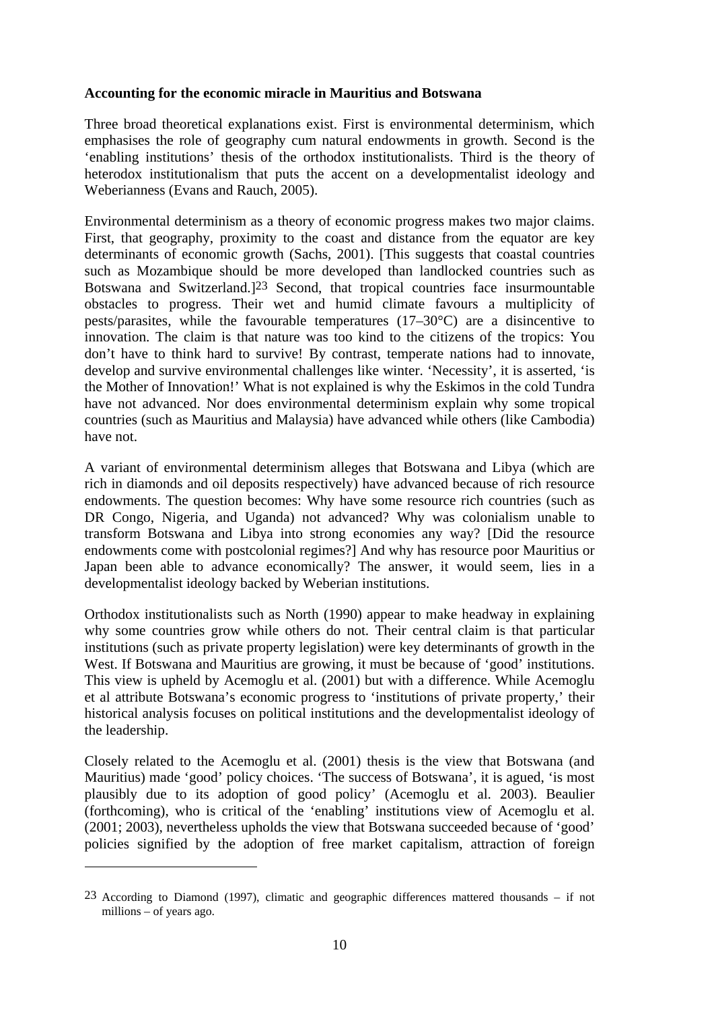#### **Accounting for the economic miracle in Mauritius and Botswana**

Three broad theoretical explanations exist. First is environmental determinism, which emphasises the role of geography cum natural endowments in growth. Second is the 'enabling institutions' thesis of the orthodox institutionalists. Third is the theory of heterodox institutionalism that puts the accent on a developmentalist ideology and Weberianness (Evans and Rauch, 2005).

Environmental determinism as a theory of economic progress makes two major claims. First, that geography, proximity to the coast and distance from the equator are key determinants of economic growth (Sachs, 2001). [This suggests that coastal countries such as Mozambique should be more developed than landlocked countries such as Botswana and Switzerland.]23 Second, that tropical countries face insurmountable obstacles to progress. Their wet and humid climate favours a multiplicity of pests/parasites, while the favourable temperatures (17–30°C) are a disincentive to innovation. The claim is that nature was too kind to the citizens of the tropics: You don't have to think hard to survive! By contrast, temperate nations had to innovate, develop and survive environmental challenges like winter. 'Necessity', it is asserted, 'is the Mother of Innovation!' What is not explained is why the Eskimos in the cold Tundra have not advanced. Nor does environmental determinism explain why some tropical countries (such as Mauritius and Malaysia) have advanced while others (like Cambodia) have not.

A variant of environmental determinism alleges that Botswana and Libya (which are rich in diamonds and oil deposits respectively) have advanced because of rich resource endowments. The question becomes: Why have some resource rich countries (such as DR Congo, Nigeria, and Uganda) not advanced? Why was colonialism unable to transform Botswana and Libya into strong economies any way? [Did the resource endowments come with postcolonial regimes?] And why has resource poor Mauritius or Japan been able to advance economically? The answer, it would seem, lies in a developmentalist ideology backed by Weberian institutions.

Orthodox institutionalists such as North (1990) appear to make headway in explaining why some countries grow while others do not. Their central claim is that particular institutions (such as private property legislation) were key determinants of growth in the West. If Botswana and Mauritius are growing, it must be because of 'good' institutions. This view is upheld by Acemoglu et al. (2001) but with a difference. While Acemoglu et al attribute Botswana's economic progress to 'institutions of private property,' their historical analysis focuses on political institutions and the developmentalist ideology of the leadership.

Closely related to the Acemoglu et al. (2001) thesis is the view that Botswana (and Mauritius) made 'good' policy choices. 'The success of Botswana', it is agued, 'is most plausibly due to its adoption of good policy' (Acemoglu et al. 2003). Beaulier (forthcoming), who is critical of the 'enabling' institutions view of Acemoglu et al. (2001; 2003), nevertheless upholds the view that Botswana succeeded because of 'good' policies signified by the adoption of free market capitalism, attraction of foreign

 $\overline{a}$ 

<sup>23</sup> According to Diamond (1997), climatic and geographic differences mattered thousands – if not millions – of years ago.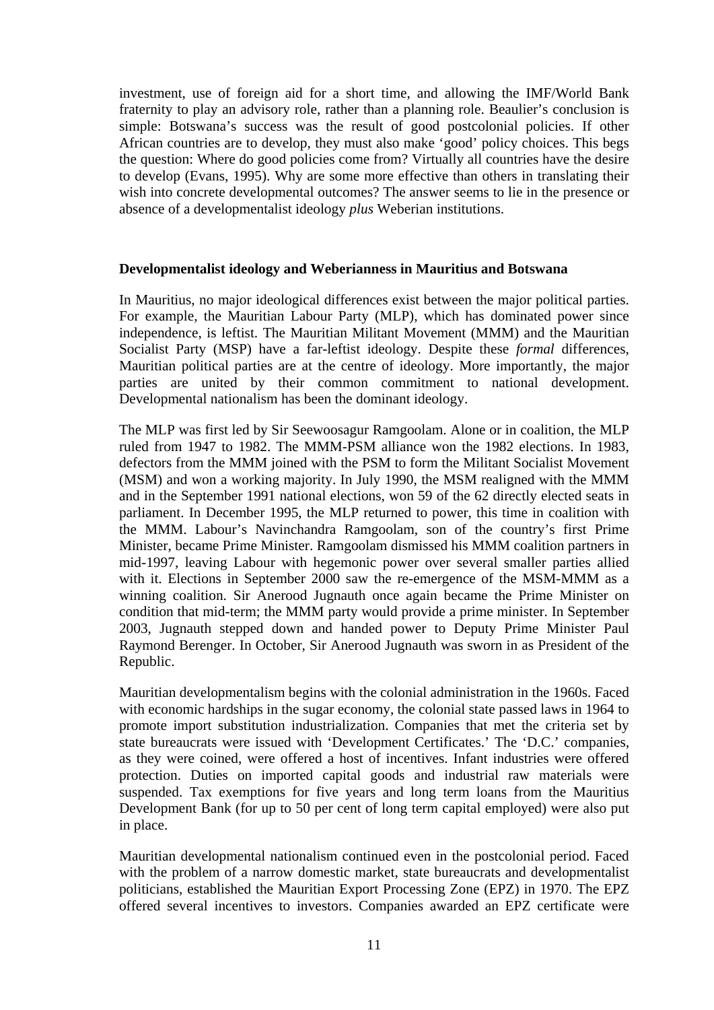investment, use of foreign aid for a short time, and allowing the IMF/World Bank fraternity to play an advisory role, rather than a planning role. Beaulier's conclusion is simple: Botswana's success was the result of good postcolonial policies. If other African countries are to develop, they must also make 'good' policy choices. This begs the question: Where do good policies come from? Virtually all countries have the desire to develop (Evans, 1995). Why are some more effective than others in translating their wish into concrete developmental outcomes? The answer seems to lie in the presence or absence of a developmentalist ideology *plus* Weberian institutions.

#### **Developmentalist ideology and Weberianness in Mauritius and Botswana**

In Mauritius, no major ideological differences exist between the major political parties. For example, the Mauritian Labour Party (MLP), which has dominated power since independence, is leftist. The Mauritian Militant Movement (MMM) and the Mauritian Socialist Party (MSP) have a far-leftist ideology. Despite these *formal* differences, Mauritian political parties are at the centre of ideology. More importantly, the major parties are united by their common commitment to national development. Developmental nationalism has been the dominant ideology.

The MLP was first led by Sir Seewoosagur Ramgoolam. Alone or in coalition, the MLP ruled from 1947 to 1982. The MMM-PSM alliance won the 1982 elections. In 1983, defectors from the MMM joined with the PSM to form the Militant Socialist Movement (MSM) and won a working majority. In July 1990, the MSM realigned with the MMM and in the September 1991 national elections, won 59 of the 62 directly elected seats in parliament. In December 1995, the MLP returned to power, this time in coalition with the MMM. Labour's Navinchandra Ramgoolam, son of the country's first Prime Minister, became Prime Minister. Ramgoolam dismissed his MMM coalition partners in mid-1997, leaving Labour with hegemonic power over several smaller parties allied with it. Elections in September 2000 saw the re-emergence of the MSM-MMM as a winning coalition. Sir Anerood Jugnauth once again became the Prime Minister on condition that mid-term; the MMM party would provide a prime minister. In September 2003, Jugnauth stepped down and handed power to Deputy Prime Minister Paul Raymond Berenger. In October, Sir Anerood Jugnauth was sworn in as President of the Republic.

Mauritian developmentalism begins with the colonial administration in the 1960s. Faced with economic hardships in the sugar economy, the colonial state passed laws in 1964 to promote import substitution industrialization. Companies that met the criteria set by state bureaucrats were issued with 'Development Certificates.' The 'D.C.' companies, as they were coined, were offered a host of incentives. Infant industries were offered protection. Duties on imported capital goods and industrial raw materials were suspended. Tax exemptions for five years and long term loans from the Mauritius Development Bank (for up to 50 per cent of long term capital employed) were also put in place.

Mauritian developmental nationalism continued even in the postcolonial period. Faced with the problem of a narrow domestic market, state bureaucrats and developmentalist politicians, established the Mauritian Export Processing Zone (EPZ) in 1970. The EPZ offered several incentives to investors. Companies awarded an EPZ certificate were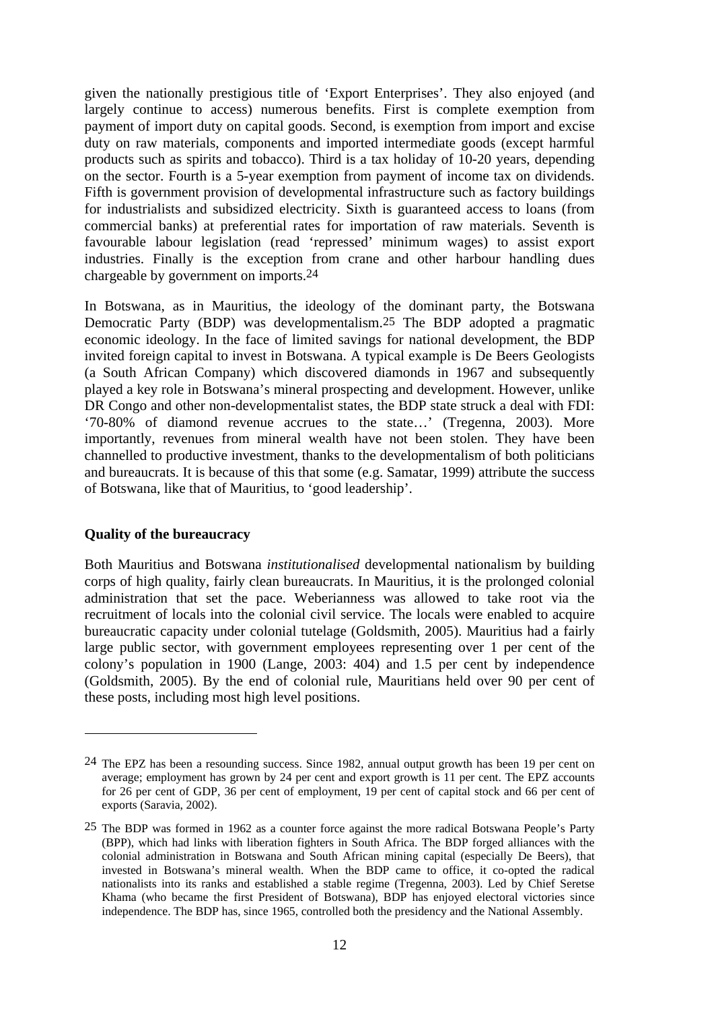given the nationally prestigious title of 'Export Enterprises'. They also enjoyed (and largely continue to access) numerous benefits. First is complete exemption from payment of import duty on capital goods. Second, is exemption from import and excise duty on raw materials, components and imported intermediate goods (except harmful products such as spirits and tobacco). Third is a tax holiday of 10-20 years, depending on the sector. Fourth is a 5-year exemption from payment of income tax on dividends. Fifth is government provision of developmental infrastructure such as factory buildings for industrialists and subsidized electricity. Sixth is guaranteed access to loans (from commercial banks) at preferential rates for importation of raw materials. Seventh is favourable labour legislation (read 'repressed' minimum wages) to assist export industries. Finally is the exception from crane and other harbour handling dues chargeable by government on imports.24

In Botswana, as in Mauritius, the ideology of the dominant party, the Botswana Democratic Party (BDP) was developmentalism.25 The BDP adopted a pragmatic economic ideology. In the face of limited savings for national development, the BDP invited foreign capital to invest in Botswana. A typical example is De Beers Geologists (a South African Company) which discovered diamonds in 1967 and subsequently played a key role in Botswana's mineral prospecting and development. However, unlike DR Congo and other non-developmentalist states, the BDP state struck a deal with FDI: '70-80% of diamond revenue accrues to the state…' (Tregenna, 2003). More importantly, revenues from mineral wealth have not been stolen. They have been channelled to productive investment, thanks to the developmentalism of both politicians and bureaucrats. It is because of this that some (e.g. Samatar, 1999) attribute the success of Botswana, like that of Mauritius, to 'good leadership'.

#### **Quality of the bureaucracy**

 $\overline{a}$ 

Both Mauritius and Botswana *institutionalised* developmental nationalism by building corps of high quality, fairly clean bureaucrats. In Mauritius, it is the prolonged colonial administration that set the pace. Weberianness was allowed to take root via the recruitment of locals into the colonial civil service. The locals were enabled to acquire bureaucratic capacity under colonial tutelage (Goldsmith, 2005). Mauritius had a fairly large public sector, with government employees representing over 1 per cent of the colony's population in 1900 (Lange, 2003: 404) and 1.5 per cent by independence (Goldsmith, 2005). By the end of colonial rule, Mauritians held over 90 per cent of these posts, including most high level positions.

<sup>24</sup> The EPZ has been a resounding success. Since 1982, annual output growth has been 19 per cent on average; employment has grown by 24 per cent and export growth is 11 per cent. The EPZ accounts for 26 per cent of GDP, 36 per cent of employment, 19 per cent of capital stock and 66 per cent of exports (Saravia, 2002).

<sup>25</sup> The BDP was formed in 1962 as a counter force against the more radical Botswana People's Party (BPP), which had links with liberation fighters in South Africa. The BDP forged alliances with the colonial administration in Botswana and South African mining capital (especially De Beers), that invested in Botswana's mineral wealth. When the BDP came to office, it co-opted the radical nationalists into its ranks and established a stable regime (Tregenna, 2003). Led by Chief Seretse Khama (who became the first President of Botswana), BDP has enjoyed electoral victories since independence. The BDP has, since 1965, controlled both the presidency and the National Assembly.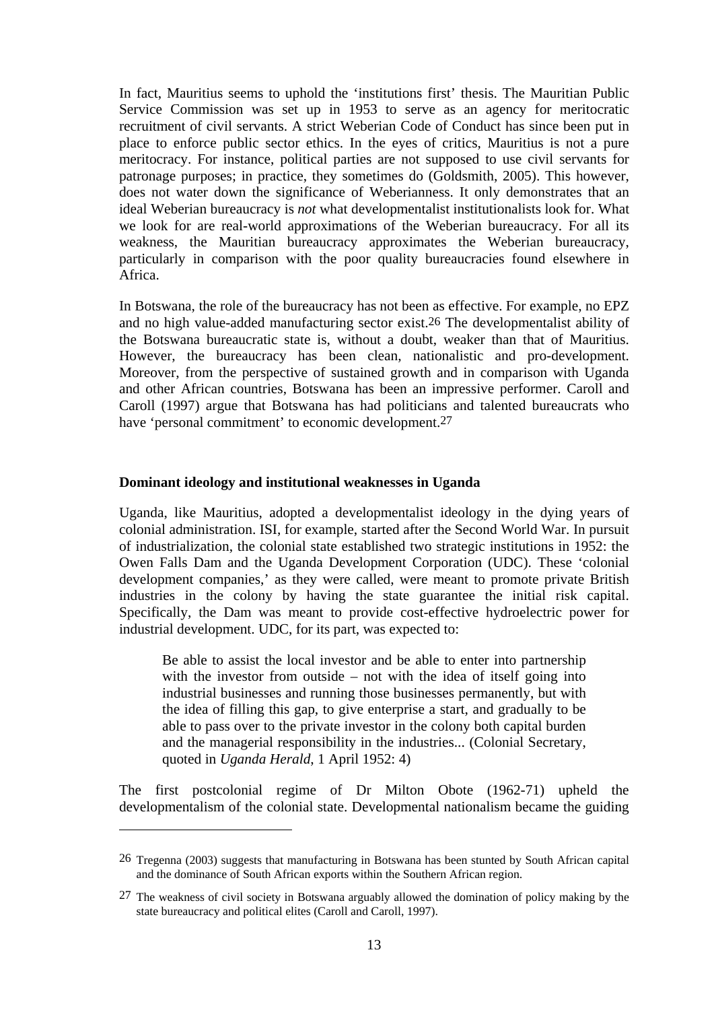In fact, Mauritius seems to uphold the 'institutions first' thesis. The Mauritian Public Service Commission was set up in 1953 to serve as an agency for meritocratic recruitment of civil servants. A strict Weberian Code of Conduct has since been put in place to enforce public sector ethics. In the eyes of critics, Mauritius is not a pure meritocracy. For instance, political parties are not supposed to use civil servants for patronage purposes; in practice, they sometimes do (Goldsmith, 2005). This however, does not water down the significance of Weberianness. It only demonstrates that an ideal Weberian bureaucracy is *not* what developmentalist institutionalists look for. What we look for are real-world approximations of the Weberian bureaucracy. For all its weakness, the Mauritian bureaucracy approximates the Weberian bureaucracy, particularly in comparison with the poor quality bureaucracies found elsewhere in Africa.

In Botswana, the role of the bureaucracy has not been as effective. For example, no EPZ and no high value-added manufacturing sector exist.26 The developmentalist ability of the Botswana bureaucratic state is, without a doubt, weaker than that of Mauritius. However, the bureaucracy has been clean, nationalistic and pro-development. Moreover, from the perspective of sustained growth and in comparison with Uganda and other African countries, Botswana has been an impressive performer. Caroll and Caroll (1997) argue that Botswana has had politicians and talented bureaucrats who have 'personal commitment' to economic development.<sup>27</sup>

#### **Dominant ideology and institutional weaknesses in Uganda**

1

Uganda, like Mauritius, adopted a developmentalist ideology in the dying years of colonial administration. ISI, for example, started after the Second World War. In pursuit of industrialization, the colonial state established two strategic institutions in 1952: the Owen Falls Dam and the Uganda Development Corporation (UDC). These 'colonial development companies,' as they were called, were meant to promote private British industries in the colony by having the state guarantee the initial risk capital. Specifically, the Dam was meant to provide cost-effective hydroelectric power for industrial development. UDC, for its part, was expected to:

Be able to assist the local investor and be able to enter into partnership with the investor from outside – not with the idea of itself going into industrial businesses and running those businesses permanently, but with the idea of filling this gap, to give enterprise a start, and gradually to be able to pass over to the private investor in the colony both capital burden and the managerial responsibility in the industries... (Colonial Secretary, quoted in *Uganda Herald*, 1 April 1952: 4)

The first postcolonial regime of Dr Milton Obote (1962-71) upheld the developmentalism of the colonial state. Developmental nationalism became the guiding

<sup>26</sup> Tregenna (2003) suggests that manufacturing in Botswana has been stunted by South African capital and the dominance of South African exports within the Southern African region.

<sup>27</sup> The weakness of civil society in Botswana arguably allowed the domination of policy making by the state bureaucracy and political elites (Caroll and Caroll, 1997).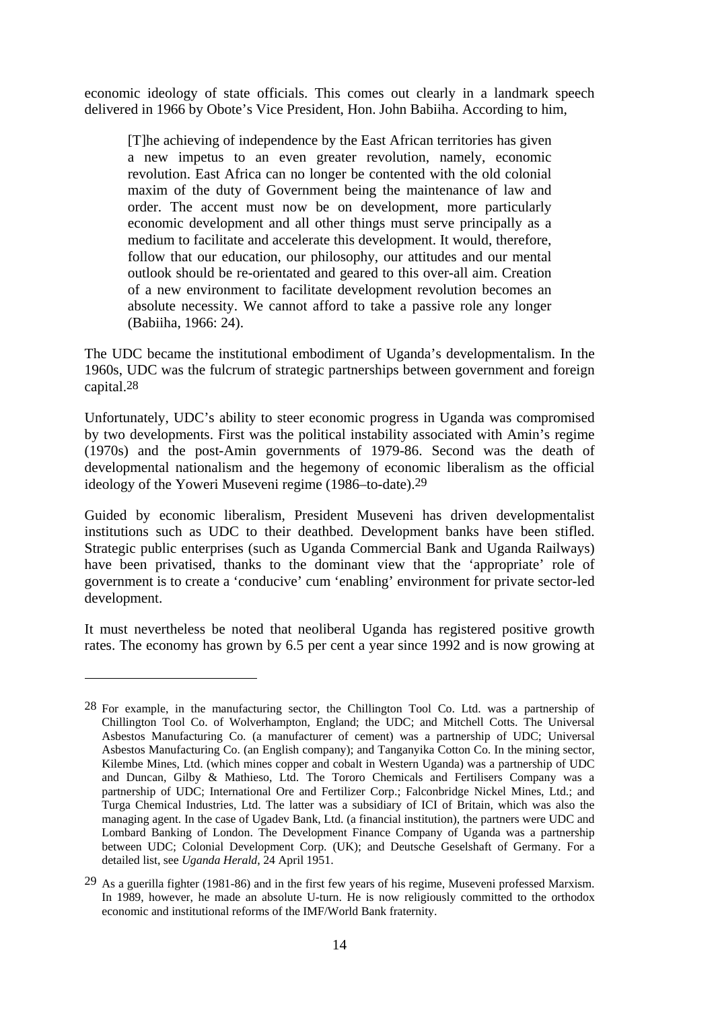economic ideology of state officials. This comes out clearly in a landmark speech delivered in 1966 by Obote's Vice President, Hon. John Babiiha. According to him,

[T]he achieving of independence by the East African territories has given a new impetus to an even greater revolution, namely, economic revolution. East Africa can no longer be contented with the old colonial maxim of the duty of Government being the maintenance of law and order. The accent must now be on development, more particularly economic development and all other things must serve principally as a medium to facilitate and accelerate this development. It would, therefore, follow that our education, our philosophy, our attitudes and our mental outlook should be re-orientated and geared to this over-all aim. Creation of a new environment to facilitate development revolution becomes an absolute necessity. We cannot afford to take a passive role any longer (Babiiha, 1966: 24).

The UDC became the institutional embodiment of Uganda's developmentalism. In the 1960s, UDC was the fulcrum of strategic partnerships between government and foreign capital.28

Unfortunately, UDC's ability to steer economic progress in Uganda was compromised by two developments. First was the political instability associated with Amin's regime (1970s) and the post-Amin governments of 1979-86. Second was the death of developmental nationalism and the hegemony of economic liberalism as the official ideology of the Yoweri Museveni regime (1986–to-date).29

Guided by economic liberalism, President Museveni has driven developmentalist institutions such as UDC to their deathbed. Development banks have been stifled. Strategic public enterprises (such as Uganda Commercial Bank and Uganda Railways) have been privatised, thanks to the dominant view that the 'appropriate' role of government is to create a 'conducive' cum 'enabling' environment for private sector-led development.

It must nevertheless be noted that neoliberal Uganda has registered positive growth rates. The economy has grown by 6.5 per cent a year since 1992 and is now growing at

 $\overline{a}$ 

<sup>28</sup> For example, in the manufacturing sector, the Chillington Tool Co. Ltd. was a partnership of Chillington Tool Co. of Wolverhampton, England; the UDC; and Mitchell Cotts. The Universal Asbestos Manufacturing Co. (a manufacturer of cement) was a partnership of UDC; Universal Asbestos Manufacturing Co. (an English company); and Tanganyika Cotton Co. In the mining sector, Kilembe Mines, Ltd. (which mines copper and cobalt in Western Uganda) was a partnership of UDC and Duncan, Gilby & Mathieso, Ltd. The Tororo Chemicals and Fertilisers Company was a partnership of UDC; International Ore and Fertilizer Corp.; Falconbridge Nickel Mines, Ltd.; and Turga Chemical Industries, Ltd. The latter was a subsidiary of ICI of Britain, which was also the managing agent. In the case of Ugadev Bank, Ltd. (a financial institution), the partners were UDC and Lombard Banking of London. The Development Finance Company of Uganda was a partnership between UDC; Colonial Development Corp. (UK); and Deutsche Geselshaft of Germany. For a detailed list, see *Uganda Herald*, 24 April 1951.

<sup>29</sup> As a guerilla fighter (1981-86) and in the first few years of his regime, Museveni professed Marxism. In 1989, however, he made an absolute U-turn. He is now religiously committed to the orthodox economic and institutional reforms of the IMF/World Bank fraternity.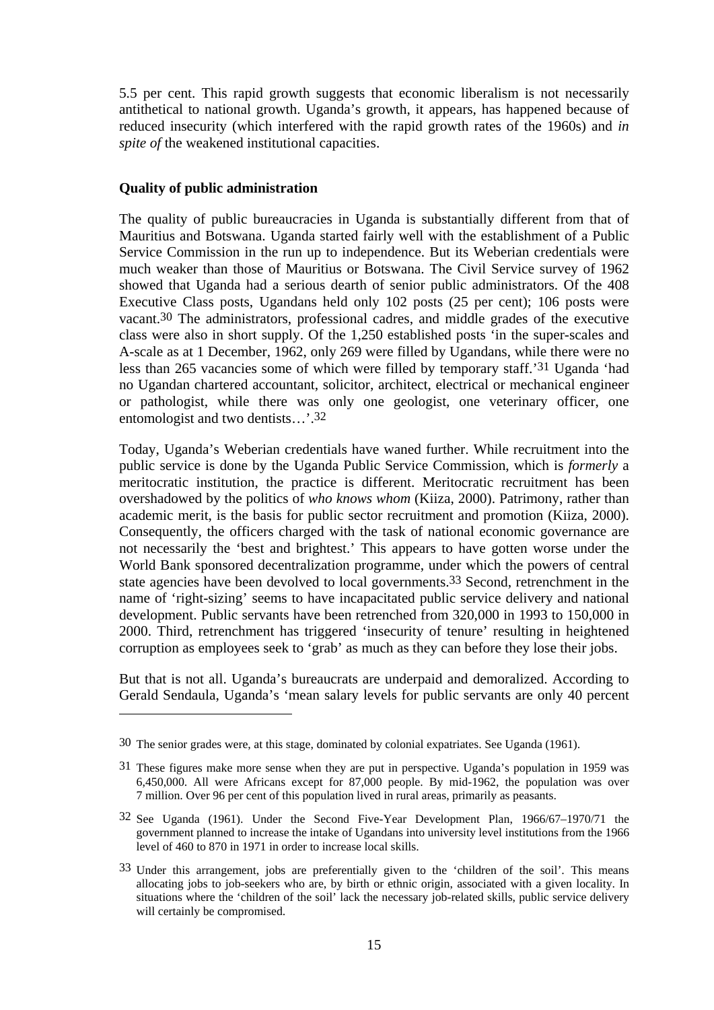5.5 per cent. This rapid growth suggests that economic liberalism is not necessarily antithetical to national growth. Uganda's growth, it appears, has happened because of reduced insecurity (which interfered with the rapid growth rates of the 1960s) and *in spite of* the weakened institutional capacities.

#### **Quality of public administration**

1

The quality of public bureaucracies in Uganda is substantially different from that of Mauritius and Botswana. Uganda started fairly well with the establishment of a Public Service Commission in the run up to independence. But its Weberian credentials were much weaker than those of Mauritius or Botswana. The Civil Service survey of 1962 showed that Uganda had a serious dearth of senior public administrators. Of the 408 Executive Class posts, Ugandans held only 102 posts (25 per cent); 106 posts were vacant.30 The administrators, professional cadres, and middle grades of the executive class were also in short supply. Of the 1,250 established posts 'in the super-scales and A-scale as at 1 December, 1962, only 269 were filled by Ugandans, while there were no less than 265 vacancies some of which were filled by temporary staff.'31 Uganda 'had no Ugandan chartered accountant, solicitor, architect, electrical or mechanical engineer or pathologist, while there was only one geologist, one veterinary officer, one entomologist and two dentists…'.32

Today, Uganda's Weberian credentials have waned further. While recruitment into the public service is done by the Uganda Public Service Commission, which is *formerly* a meritocratic institution, the practice is different. Meritocratic recruitment has been overshadowed by the politics of *who knows whom* (Kiiza, 2000). Patrimony, rather than academic merit, is the basis for public sector recruitment and promotion (Kiiza, 2000). Consequently, the officers charged with the task of national economic governance are not necessarily the 'best and brightest.' This appears to have gotten worse under the World Bank sponsored decentralization programme, under which the powers of central state agencies have been devolved to local governments.33 Second, retrenchment in the name of 'right-sizing' seems to have incapacitated public service delivery and national development. Public servants have been retrenched from 320,000 in 1993 to 150,000 in 2000. Third, retrenchment has triggered 'insecurity of tenure' resulting in heightened corruption as employees seek to 'grab' as much as they can before they lose their jobs.

But that is not all. Uganda's bureaucrats are underpaid and demoralized. According to Gerald Sendaula, Uganda's 'mean salary levels for public servants are only 40 percent

<sup>30</sup> The senior grades were, at this stage, dominated by colonial expatriates. See Uganda (1961).

<sup>31</sup> These figures make more sense when they are put in perspective. Uganda's population in 1959 was 6,450,000. All were Africans except for 87,000 people. By mid-1962, the population was over 7 million. Over 96 per cent of this population lived in rural areas, primarily as peasants.

<sup>32</sup> See Uganda (1961). Under the Second Five-Year Development Plan, 1966/67–1970/71 the government planned to increase the intake of Ugandans into university level institutions from the 1966 level of 460 to 870 in 1971 in order to increase local skills.

<sup>33</sup> Under this arrangement, jobs are preferentially given to the 'children of the soil'. This means allocating jobs to job-seekers who are, by birth or ethnic origin, associated with a given locality. In situations where the 'children of the soil' lack the necessary job-related skills, public service delivery will certainly be compromised.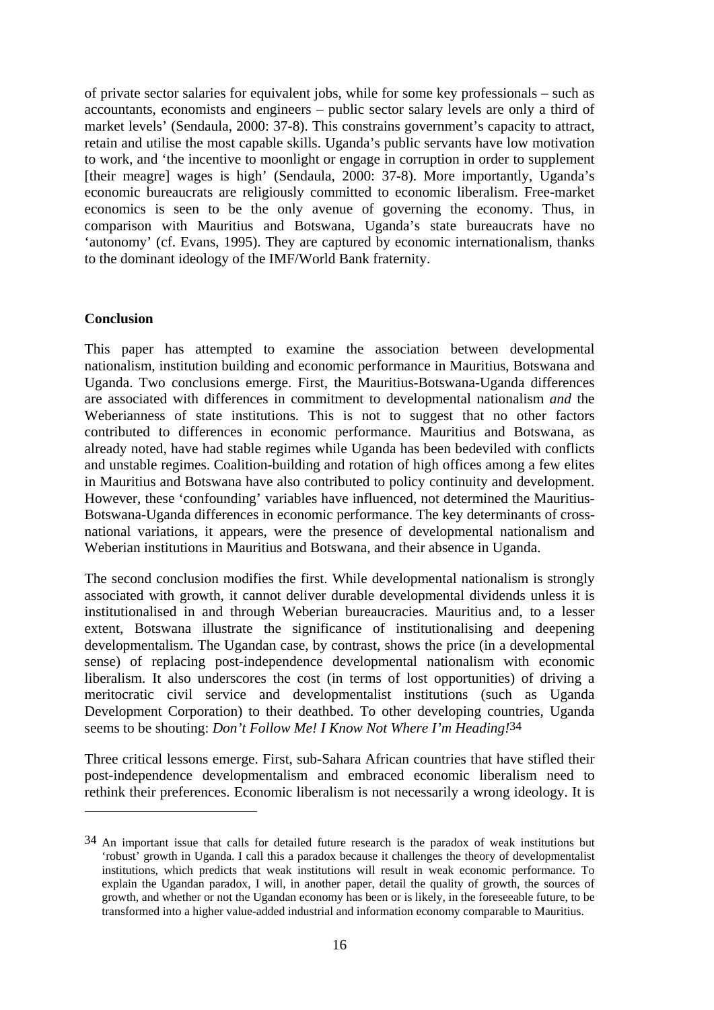of private sector salaries for equivalent jobs, while for some key professionals – such as accountants, economists and engineers – public sector salary levels are only a third of market levels' (Sendaula, 2000: 37-8). This constrains government's capacity to attract, retain and utilise the most capable skills. Uganda's public servants have low motivation to work, and 'the incentive to moonlight or engage in corruption in order to supplement [their meagre] wages is high' (Sendaula, 2000: 37-8). More importantly, Uganda's economic bureaucrats are religiously committed to economic liberalism. Free-market economics is seen to be the only avenue of governing the economy. Thus, in comparison with Mauritius and Botswana, Uganda's state bureaucrats have no 'autonomy' (cf. Evans, 1995). They are captured by economic internationalism, thanks to the dominant ideology of the IMF/World Bank fraternity.

#### **Conclusion**

 $\overline{a}$ 

This paper has attempted to examine the association between developmental nationalism, institution building and economic performance in Mauritius, Botswana and Uganda. Two conclusions emerge. First, the Mauritius-Botswana-Uganda differences are associated with differences in commitment to developmental nationalism *and* the Weberianness of state institutions. This is not to suggest that no other factors contributed to differences in economic performance. Mauritius and Botswana, as already noted, have had stable regimes while Uganda has been bedeviled with conflicts and unstable regimes. Coalition-building and rotation of high offices among a few elites in Mauritius and Botswana have also contributed to policy continuity and development. However, these 'confounding' variables have influenced, not determined the Mauritius-Botswana-Uganda differences in economic performance. The key determinants of crossnational variations, it appears, were the presence of developmental nationalism and Weberian institutions in Mauritius and Botswana, and their absence in Uganda.

The second conclusion modifies the first. While developmental nationalism is strongly associated with growth, it cannot deliver durable developmental dividends unless it is institutionalised in and through Weberian bureaucracies. Mauritius and, to a lesser extent, Botswana illustrate the significance of institutionalising and deepening developmentalism. The Ugandan case, by contrast, shows the price (in a developmental sense) of replacing post-independence developmental nationalism with economic liberalism. It also underscores the cost (in terms of lost opportunities) of driving a meritocratic civil service and developmentalist institutions (such as Uganda Development Corporation) to their deathbed. To other developing countries, Uganda seems to be shouting: *Don't Follow Me! I Know Not Where I'm Heading!*34

Three critical lessons emerge. First, sub-Sahara African countries that have stifled their post-independence developmentalism and embraced economic liberalism need to rethink their preferences. Economic liberalism is not necessarily a wrong ideology. It is

<sup>34</sup> An important issue that calls for detailed future research is the paradox of weak institutions but 'robust' growth in Uganda. I call this a paradox because it challenges the theory of developmentalist institutions, which predicts that weak institutions will result in weak economic performance. To explain the Ugandan paradox, I will, in another paper, detail the quality of growth, the sources of growth, and whether or not the Ugandan economy has been or is likely, in the foreseeable future, to be transformed into a higher value-added industrial and information economy comparable to Mauritius.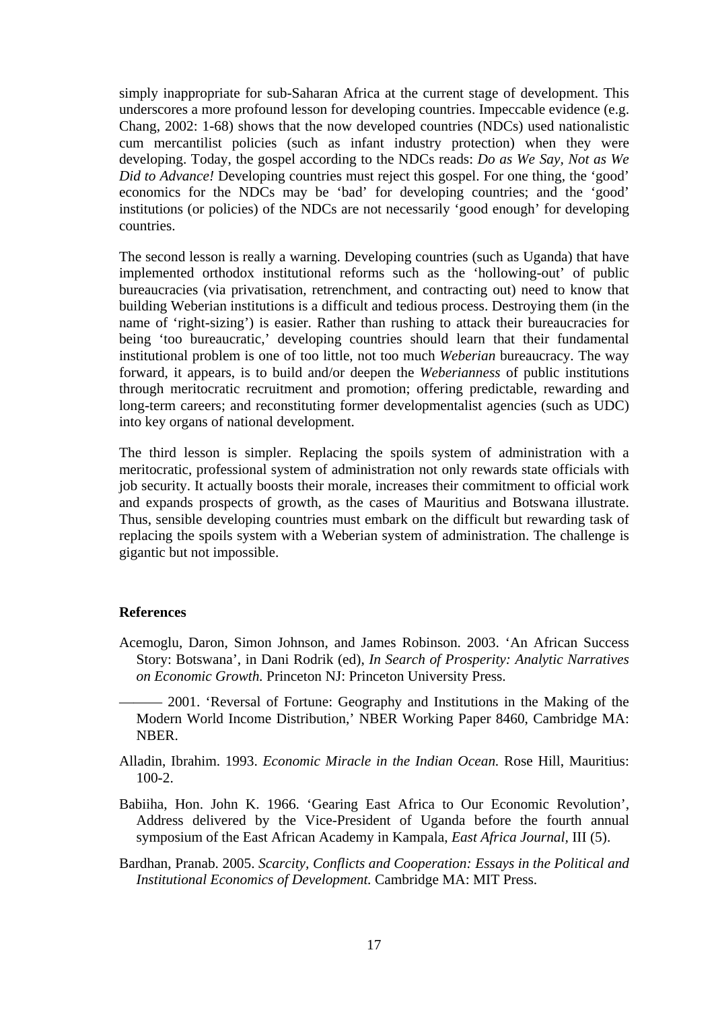simply inappropriate for sub-Saharan Africa at the current stage of development. This underscores a more profound lesson for developing countries. Impeccable evidence (e.g. Chang, 2002: 1-68) shows that the now developed countries (NDCs) used nationalistic cum mercantilist policies (such as infant industry protection) when they were developing. Today, the gospel according to the NDCs reads: *Do as We Say, Not as We Did to Advance!* Developing countries must reject this gospel. For one thing, the 'good' economics for the NDCs may be 'bad' for developing countries; and the 'good' institutions (or policies) of the NDCs are not necessarily 'good enough' for developing countries.

The second lesson is really a warning. Developing countries (such as Uganda) that have implemented orthodox institutional reforms such as the 'hollowing-out' of public bureaucracies (via privatisation, retrenchment, and contracting out) need to know that building Weberian institutions is a difficult and tedious process. Destroying them (in the name of 'right-sizing') is easier. Rather than rushing to attack their bureaucracies for being 'too bureaucratic,' developing countries should learn that their fundamental institutional problem is one of too little, not too much *Weberian* bureaucracy. The way forward, it appears, is to build and/or deepen the *Weberianness* of public institutions through meritocratic recruitment and promotion; offering predictable, rewarding and long-term careers; and reconstituting former developmentalist agencies (such as UDC) into key organs of national development.

The third lesson is simpler. Replacing the spoils system of administration with a meritocratic, professional system of administration not only rewards state officials with job security. It actually boosts their morale, increases their commitment to official work and expands prospects of growth, as the cases of Mauritius and Botswana illustrate. Thus, sensible developing countries must embark on the difficult but rewarding task of replacing the spoils system with a Weberian system of administration. The challenge is gigantic but not impossible.

#### **References**

- Acemoglu, Daron, Simon Johnson, and James Robinson. 2003. 'An African Success Story: Botswana', in Dani Rodrik (ed), *In Search of Prosperity: Analytic Narratives on Economic Growth.* Princeton NJ: Princeton University Press.
- ——— 2001. 'Reversal of Fortune: Geography and Institutions in the Making of the Modern World Income Distribution,' NBER Working Paper 8460, Cambridge MA: NBER.
- Alladin, Ibrahim. 1993. *Economic Miracle in the Indian Ocean.* Rose Hill, Mauritius: 100-2.
- Babiiha, Hon. John K. 1966. 'Gearing East Africa to Our Economic Revolution', Address delivered by the Vice-President of Uganda before the fourth annual symposium of the East African Academy in Kampala, *East Africa Journal,* III (5).
- Bardhan, Pranab. 2005. *Scarcity, Conflicts and Cooperation: Essays in the Political and Institutional Economics of Development.* Cambridge MA: MIT Press.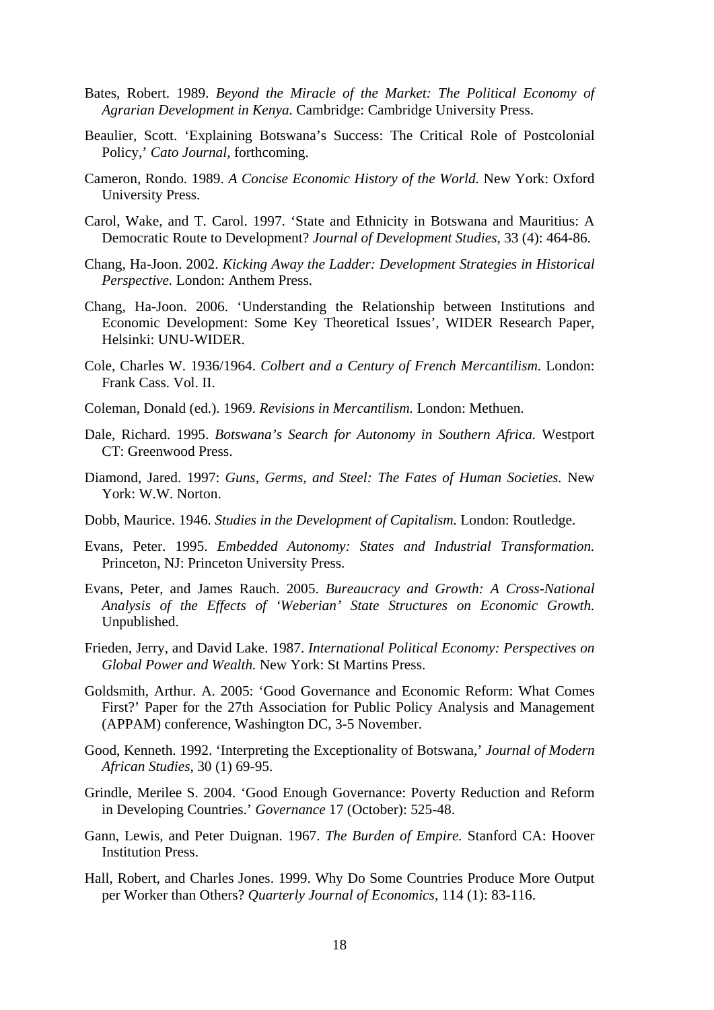- Bates, Robert. 1989. *Beyond the Miracle of the Market: The Political Economy of Agrarian Development in Kenya.* Cambridge: Cambridge University Press.
- Beaulier, Scott. 'Explaining Botswana's Success: The Critical Role of Postcolonial Policy,' *Cato Journal,* forthcoming.
- Cameron, Rondo. 1989. *A Concise Economic History of the World.* New York: Oxford University Press.
- Carol, Wake, and T. Carol. 1997. 'State and Ethnicity in Botswana and Mauritius: A Democratic Route to Development? *Journal of Development Studies,* 33 (4): 464-86.
- Chang, Ha-Joon. 2002. *Kicking Away the Ladder: Development Strategies in Historical Perspective.* London: Anthem Press.
- Chang, Ha-Joon. 2006. 'Understanding the Relationship between Institutions and Economic Development: Some Key Theoretical Issues', WIDER Research Paper, Helsinki: UNU-WIDER.
- Cole, Charles W. 1936/1964. *Colbert and a Century of French Mercantilism*. London: Frank Cass. Vol. II.
- Coleman, Donald (ed.). 1969. *Revisions in Mercantilism.* London: Methuen.
- Dale, Richard. 1995. *Botswana's Search for Autonomy in Southern Africa.* Westport CT: Greenwood Press.
- Diamond, Jared. 1997: *Guns, Germs, and Steel: The Fates of Human Societies.* New York: W.W. Norton.
- Dobb, Maurice. 1946. *Studies in the Development of Capitalism.* London: Routledge.
- Evans, Peter. 1995. *Embedded Autonomy: States and Industrial Transformation.*  Princeton, NJ: Princeton University Press.
- Evans, Peter, and James Rauch. 2005. *Bureaucracy and Growth: A Cross-National Analysis of the Effects of 'Weberian' State Structures on Economic Growth.*  Unpublished.
- Frieden, Jerry, and David Lake. 1987. *International Political Economy: Perspectives on Global Power and Wealth.* New York: St Martins Press.
- Goldsmith, Arthur. A. 2005: 'Good Governance and Economic Reform: What Comes First?' Paper for the 27th Association for Public Policy Analysis and Management (APPAM) conference, Washington DC, 3-5 November.
- Good, Kenneth. 1992. 'Interpreting the Exceptionality of Botswana,' *Journal of Modern African Studies*, 30 (1) 69-95.
- Grindle, Merilee S. 2004. 'Good Enough Governance: Poverty Reduction and Reform in Developing Countries.' *Governance* 17 (October): 525-48.
- Gann, Lewis, and Peter Duignan. 1967. *The Burden of Empire.* Stanford CA: Hoover Institution Press.
- Hall, Robert, and Charles Jones. 1999. Why Do Some Countries Produce More Output per Worker than Others? *Quarterly Journal of Economics*, 114 (1): 83-116.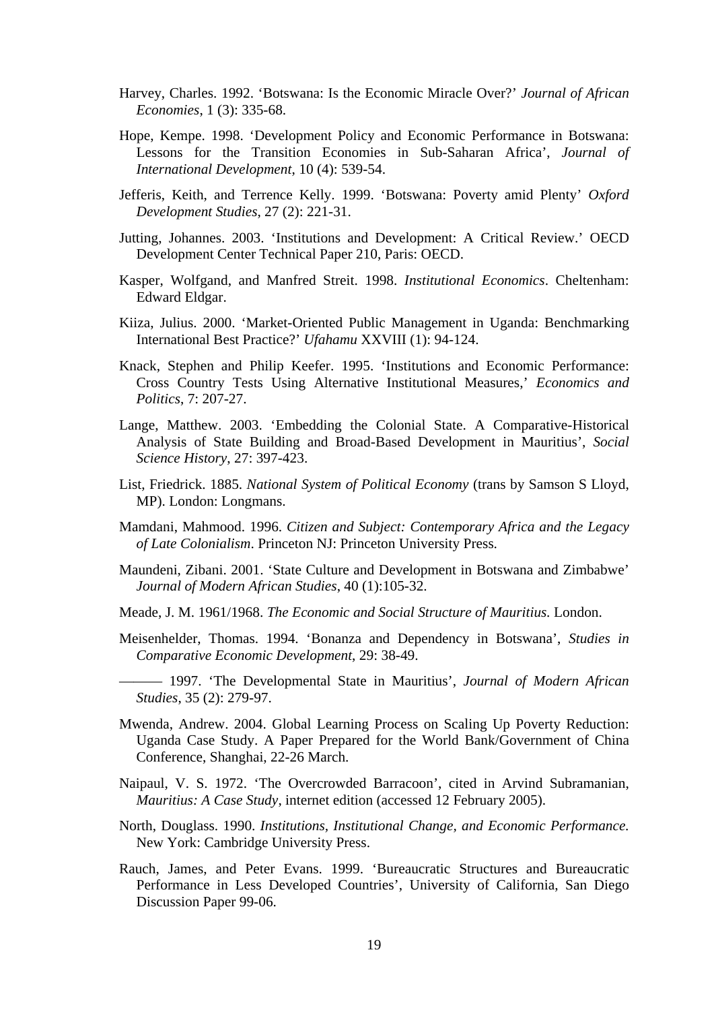- Harvey, Charles. 1992. 'Botswana: Is the Economic Miracle Over?' *Journal of African Economies*, 1 (3): 335-68.
- Hope, Kempe. 1998. 'Development Policy and Economic Performance in Botswana: Lessons for the Transition Economies in Sub-Saharan Africa', *Journal of International Development*, 10 (4): 539-54.
- Jefferis, Keith, and Terrence Kelly. 1999. 'Botswana: Poverty amid Plenty' *Oxford Development Studies*, 27 (2): 221-31.
- Jutting, Johannes. 2003. 'Institutions and Development: A Critical Review.' OECD Development Center Technical Paper 210, Paris: OECD.
- Kasper, Wolfgand, and Manfred Streit. 1998. *Institutional Economics*. Cheltenham: Edward Eldgar.
- Kiiza, Julius. 2000. 'Market-Oriented Public Management in Uganda: Benchmarking International Best Practice?' *Ufahamu* XXVIII (1): 94-124.
- Knack, Stephen and Philip Keefer. 1995. 'Institutions and Economic Performance: Cross Country Tests Using Alternative Institutional Measures,' *Economics and Politics*, 7: 207-27.
- Lange, Matthew. 2003. 'Embedding the Colonial State. A Comparative-Historical Analysis of State Building and Broad-Based Development in Mauritius', *Social Science History*, 27: 397-423.
- List, Friedrick. 1885. *National System of Political Economy* (trans by Samson S Lloyd, MP). London: Longmans.
- Mamdani, Mahmood. 1996. *Citizen and Subject: Contemporary Africa and the Legacy of Late Colonialism*. Princeton NJ: Princeton University Press.
- Maundeni, Zibani. 2001. 'State Culture and Development in Botswana and Zimbabwe' *Journal of Modern African Studies*, 40 (1):105-32.
- Meade, J. M. 1961/1968. *The Economic and Social Structure of Mauritius.* London.
- Meisenhelder, Thomas. 1994. 'Bonanza and Dependency in Botswana', *Studies in Comparative Economic Development*, 29: 38-49.
- ——— 1997. 'The Developmental State in Mauritius', *Journal of Modern African Studies*, 35 (2): 279-97.
- Mwenda, Andrew. 2004. Global Learning Process on Scaling Up Poverty Reduction: Uganda Case Study. A Paper Prepared for the World Bank/Government of China Conference, Shanghai, 22-26 March.
- Naipaul, V. S. 1972. 'The Overcrowded Barracoon', cited in Arvind Subramanian, *Mauritius: A Case Study*, internet edition (accessed 12 February 2005).
- North, Douglass. 1990. *Institutions, Institutional Change, and Economic Performance.*  New York: Cambridge University Press.
- Rauch, James, and Peter Evans. 1999. 'Bureaucratic Structures and Bureaucratic Performance in Less Developed Countries', University of California, San Diego Discussion Paper 99-06.